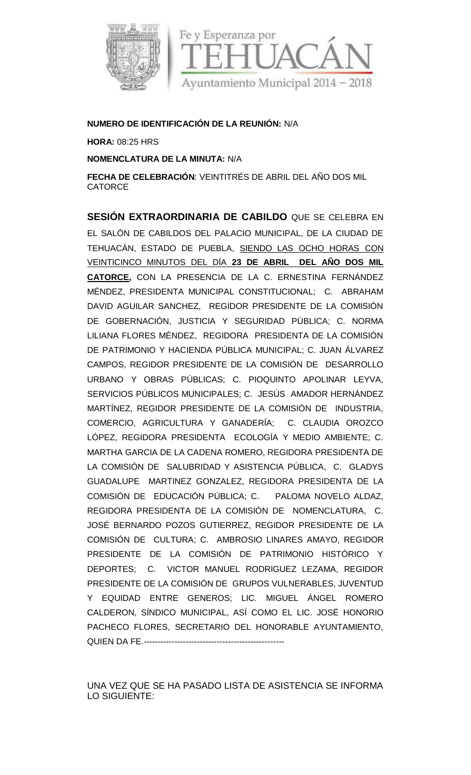

## **NUMERO DE IDENTIFICACIÓN DE LA REUNIÓN:** N/A

**HORA:** 08:25 HRS

**NOMENCLATURA DE LA MINUTA:** N/A

**FECHA DE CELEBRACIÓN**: VEINTITRÉS DE ABRIL DEL AÑO DOS MIL CATORCE

**SESIÓN EXTRAORDINARIA DE CABILDO** QUE SE CELEBRA EN EL SALÓN DE CABILDOS DEL PALACIO MUNICIPAL, DE LA CIUDAD DE TEHUACÁN, ESTADO DE PUEBLA, SIENDO LAS OCHO HORAS CON VEINTICINCO MINUTOS DEL DÍA **23 DE ABRIL DEL AÑO DOS MIL CATORCE,** CON LA PRESENCIA DE LA C. ERNESTINA FERNÁNDEZ MÉNDEZ, PRESIDENTA MUNICIPAL CONSTITUCIONAL; C. ABRAHAM DAVID AGUILAR SANCHEZ, REGIDOR PRESIDENTE DE LA COMISIÓN DE GOBERNACIÓN, JUSTICIA Y SEGURIDAD PÚBLICA; C. NORMA LILIANA FLORES MÉNDEZ, REGIDORA PRESIDENTA DE LA COMISIÓN DE PATRIMONIO Y HACIENDA PÚBLICA MUNICIPAL; C. JUAN ÁLVAREZ CAMPOS, REGIDOR PRESIDENTE DE LA COMISIÓN DE DESARROLLO URBANO Y OBRAS PÚBLICAS; C. PIOQUINTO APOLINAR LEYVA, SERVICIOS PÚBLICOS MUNICIPALES; C. JESÚS AMADOR HERNÁNDEZ MARTÍNEZ, REGIDOR PRESIDENTE DE LA COMISIÓN DE INDUSTRIA, COMERCIO, AGRICULTURA Y GANADERÍA; C. CLAUDIA OROZCO LÓPEZ, REGIDORA PRESIDENTA ECOLOGÍA Y MEDIO AMBIENTE; C. MARTHA GARCIA DE LA CADENA ROMERO, REGIDORA PRESIDENTA DE LA COMISIÓN DE SALUBRIDAD Y ASISTENCIA PÚBLICA, C. GLADYS GUADALUPE MARTINEZ GONZALEZ, REGIDORA PRESIDENTA DE LA COMISIÓN DE EDUCACIÓN PÚBLICA; C. PALOMA NOVELO ALDAZ, REGIDORA PRESIDENTA DE LA COMISIÓN DE NOMENCLATURA, C. JOSÉ BERNARDO POZOS GUTIERREZ, REGIDOR PRESIDENTE DE LA COMISIÓN DE CULTURA; C. AMBROSIO LINARES AMAYO, REGIDOR PRESIDENTE DE LA COMISIÓN DE PATRIMONIO HISTÓRICO Y DEPORTES; C. VICTOR MANUEL RODRIGUEZ LEZAMA, REGIDOR PRESIDENTE DE LA COMISIÓN DE GRUPOS VULNERABLES, JUVENTUD Y EQUIDAD ENTRE GENEROS; LIC. MIGUEL ÁNGEL ROMERO CALDERON, SÍNDICO MUNICIPAL, ASÍ COMO EL LIC. JOSÉ HONORIO PACHECO FLORES, SECRETARIO DEL HONORABLE AYUNTAMIENTO, QUIEN DA FE.--------------------------------------------------

UNA VEZ QUE SE HA PASADO LISTA DE ASISTENCIA SE INFORMA LO SIGUIENTE: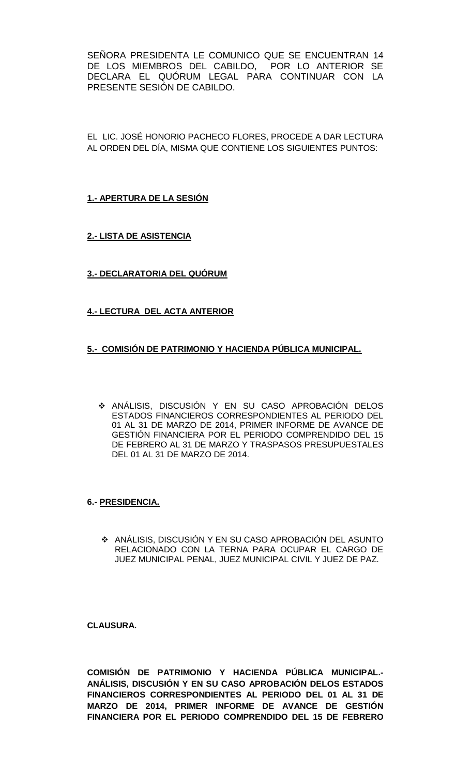SEÑORA PRESIDENTA LE COMUNICO QUE SE ENCUENTRAN 14 DE LOS MIEMBROS DEL CABILDO, POR LO ANTERIOR SE DECLARA EL QUÓRUM LEGAL PARA CONTINUAR CON LA PRESENTE SESIÓN DE CABILDO.

EL LIC. JOSÉ HONORIO PACHECO FLORES, PROCEDE A DAR LECTURA AL ORDEN DEL DÍA, MISMA QUE CONTIENE LOS SIGUIENTES PUNTOS:

**1.- APERTURA DE LA SESIÓN**

**2.- LISTA DE ASISTENCIA**

**3.- DECLARATORIA DEL QUÓRUM**

# **4.- LECTURA DEL ACTA ANTERIOR**

## **5.- COMISIÓN DE PATRIMONIO Y HACIENDA PÚBLICA MUNICIPAL.**

 ANÁLISIS, DISCUSIÓN Y EN SU CASO APROBACIÓN DELOS ESTADOS FINANCIEROS CORRESPONDIENTES AL PERIODO DEL 01 AL 31 DE MARZO DE 2014, PRIMER INFORME DE AVANCE DE GESTIÓN FINANCIERA POR EL PERIODO COMPRENDIDO DEL 15 DE FEBRERO AL 31 DE MARZO Y TRASPASOS PRESUPUESTALES DEL 01 AL 31 DE MARZO DE 2014.

## **6.- PRESIDENCIA.**

 ANÁLISIS, DISCUSIÓN Y EN SU CASO APROBACIÓN DEL ASUNTO RELACIONADO CON LA TERNA PARA OCUPAR EL CARGO DE JUEZ MUNICIPAL PENAL, JUEZ MUNICIPAL CIVIL Y JUEZ DE PAZ.

**CLAUSURA.**

**COMISIÓN DE PATRIMONIO Y HACIENDA PÚBLICA MUNICIPAL.- ANÁLISIS, DISCUSIÓN Y EN SU CASO APROBACIÓN DELOS ESTADOS FINANCIEROS CORRESPONDIENTES AL PERIODO DEL 01 AL 31 DE MARZO DE 2014, PRIMER INFORME DE AVANCE DE GESTIÓN FINANCIERA POR EL PERIODO COMPRENDIDO DEL 15 DE FEBRERO**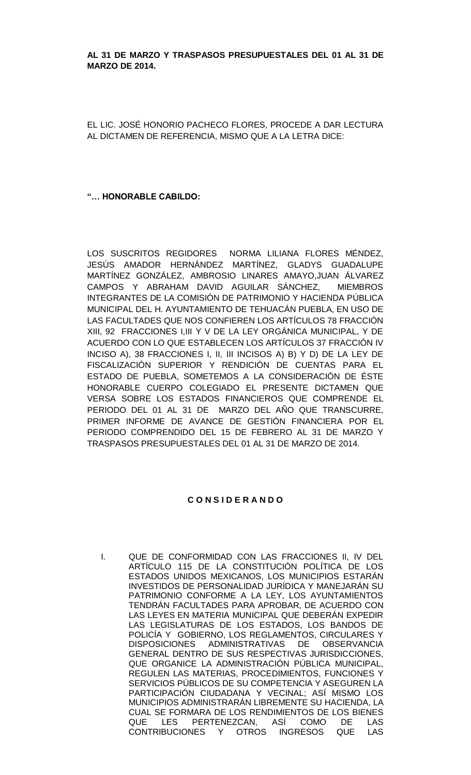### **AL 31 DE MARZO Y TRASPASOS PRESUPUESTALES DEL 01 AL 31 DE MARZO DE 2014.**

EL LIC. JOSÉ HONORIO PACHECO FLORES, PROCEDE A DAR LECTURA AL DICTAMEN DE REFERENCIA, MISMO QUE A LA LETRA DICE:

### **"… HONORABLE CABILDO:**

LOS SUSCRITOS REGIDORES NORMA LILIANA FLORES MÉNDEZ, JESÚS AMADOR HERNÁNDEZ MARTÍNEZ, GLADYS GUADALUPE MARTÍNEZ GONZÁLEZ, AMBROSIO LINARES AMAYO,JUAN ÁLVAREZ CAMPOS Y ABRAHAM DAVID AGUILAR SÁNCHEZ, MIEMBROS INTEGRANTES DE LA COMISIÓN DE PATRIMONIO Y HACIENDA PÚBLICA MUNICIPAL DEL H. AYUNTAMIENTO DE TEHUACÁN PUEBLA, EN USO DE LAS FACULTADES QUE NOS CONFIEREN LOS ARTÍCULOS 78 FRACCIÓN XIII, 92 FRACCIONES I,III Y V DE LA LEY ORGÁNICA MUNICIPAL, Y DE ACUERDO CON LO QUE ESTABLECEN LOS ARTÍCULOS 37 FRACCIÓN IV INCISO A), 38 FRACCIONES I, II, III INCISOS A) B) Y D) DE LA LEY DE FISCALIZACIÓN SUPERIOR Y RENDICIÓN DE CUENTAS PARA EL ESTADO DE PUEBLA, SOMETEMOS A LA CONSIDERACIÓN DE ÉSTE HONORABLE CUERPO COLEGIADO EL PRESENTE DICTAMEN QUE VERSA SOBRE LOS ESTADOS FINANCIEROS QUE COMPRENDE EL PERIODO DEL 01 AL 31 DE MARZO DEL AÑO QUE TRANSCURRE, PRIMER INFORME DE AVANCE DE GESTIÓN FINANCIERA POR EL PERIODO COMPRENDIDO DEL 15 DE FEBRERO AL 31 DE MARZO Y TRASPASOS PRESUPUESTALES DEL 01 AL 31 DE MARZO DE 2014.

#### **C O N S I D E R A N D O**

I. QUE DE CONFORMIDAD CON LAS FRACCIONES II, IV DEL ARTÍCULO 115 DE LA CONSTITUCIÓN POLÍTICA DE LOS ESTADOS UNIDOS MEXICANOS, LOS MUNICIPIOS ESTARÁN INVESTIDOS DE PERSONALIDAD JURÍDICA Y MANEJARÁN SU PATRIMONIO CONFORME A LA LEY, LOS AYUNTAMIENTOS TENDRÁN FACULTADES PARA APROBAR, DE ACUERDO CON LAS LEYES EN MATERIA MUNICIPAL QUE DEBERÁN EXPEDIR LAS LEGISLATURAS DE LOS ESTADOS, LOS BANDOS DE POLICÍA Y GOBIERNO, LOS REGLAMENTOS, CIRCULARES Y<br>DISPOSICIONES ADMINISTRATIVAS DE OBSERVANCIA ADMINISTRATIVAS DE OBSERVANCIA GENERAL DENTRO DE SUS RESPECTIVAS JURISDICCIONES, QUE ORGANICE LA ADMINISTRACIÓN PÚBLICA MUNICIPAL, REGULEN LAS MATERIAS, PROCEDIMIENTOS, FUNCIONES Y SERVICIOS PÚBLICOS DE SU COMPETENCIA Y ASEGUREN LA PARTICIPACIÓN CIUDADANA Y VECINAL; ASÍ MISMO LOS MUNICIPIOS ADMINISTRARÁN LIBREMENTE SU HACIENDA, LA CUAL SE FORMARA DE LOS RENDIMIENTOS DE LOS BIENES QUE LES PERTENEZCAN, ASÍ COMO DE LAS CONTRIBUCIONES Y OTROS INGRESOS QUE LAS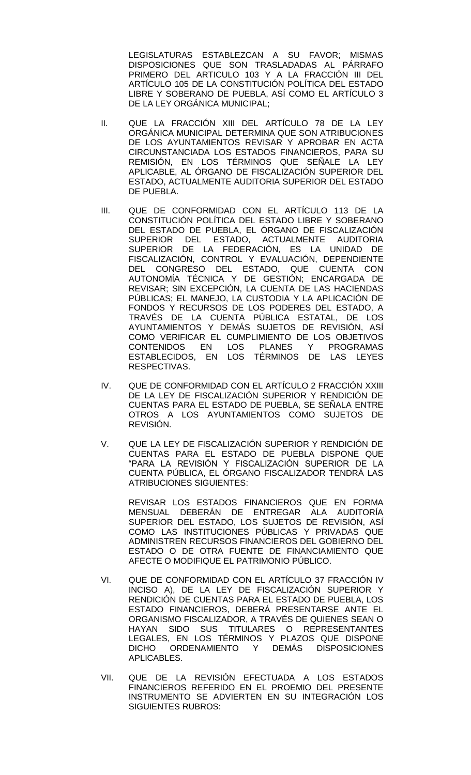LEGISLATURAS ESTABLEZCAN A SU FAVOR; MISMAS DISPOSICIONES QUE SON TRASLADADAS AL PÁRRAFO PRIMERO DEL ARTICULO 103 Y A LA FRACCIÓN III DEL ARTÍCULO 105 DE LA CONSTITUCIÓN POLÍTICA DEL ESTADO LIBRE Y SOBERANO DE PUEBLA, ASÍ COMO EL ARTÍCULO 3 DE LA LEY ORGÁNICA MUNICIPAL;

- II. QUE LA FRACCIÓN XIII DEL ARTÍCULO 78 DE LA LEY ORGÁNICA MUNICIPAL DETERMINA QUE SON ATRIBUCIONES DE LOS AYUNTAMIENTOS REVISAR Y APROBAR EN ACTA CIRCUNSTANCIADA LOS ESTADOS FINANCIEROS, PARA SU REMISIÓN, EN LOS TÉRMINOS QUE SEÑALE LA LEY APLICABLE, AL ÓRGANO DE FISCALIZACIÓN SUPERIOR DEL ESTADO, ACTUALMENTE AUDITORIA SUPERIOR DEL ESTADO DE PUEBLA.
- III. QUE DE CONFORMIDAD CON EL ARTÍCULO 113 DE LA CONSTITUCIÓN POLÍTICA DEL ESTADO LIBRE Y SOBERANO DEL ESTADO DE PUEBLA, EL ÓRGANO DE FISCALIZACIÓN SUPERIOR DEL ESTADO, ACTUALMENTE AUDITORIA SUPERIOR DE LA FEDERACIÓN, ES LA UNIDAD DE FISCALIZACIÓN, CONTROL Y EVALUACIÓN, DEPENDIENTE DEL CONGRESO DEL ESTADO, QUE CUENTA CON AUTONOMÍA TÉCNICA Y DE GESTIÓN; ENCARGADA DE REVISAR; SIN EXCEPCIÓN, LA CUENTA DE LAS HACIENDAS PÚBLICAS; EL MANEJO, LA CUSTODIA Y LA APLICACIÓN DE FONDOS Y RECURSOS DE LOS PODERES DEL ESTADO, A TRAVÉS DE LA CUENTA PÚBLICA ESTATAL, DE LOS AYUNTAMIENTOS Y DEMÁS SUJETOS DE REVISIÓN, ASÍ COMO VERIFICAR EL CUMPLIMIENTO DE LOS OBJETIVOS CONTENIDOS EN LOS PLANES Y PROGRAMAS ESTABLECIDOS, EN LOS TÉRMINOS DE LAS LEYES RESPECTIVAS.
- IV. QUE DE CONFORMIDAD CON EL ARTÍCULO 2 FRACCIÓN XXIII DE LA LEY DE FISCALIZACIÓN SUPERIOR Y RENDICIÓN DE CUENTAS PARA EL ESTADO DE PUEBLA, SE SEÑALA ENTRE OTROS A LOS AYUNTAMIENTOS COMO SUJETOS DE REVISIÓN.
- V. QUE LA LEY DE FISCALIZACIÓN SUPERIOR Y RENDICIÓN DE CUENTAS PARA EL ESTADO DE PUEBLA DISPONE QUE "PARA LA REVISIÓN Y FISCALIZACIÓN SUPERIOR DE LA CUENTA PÚBLICA, EL ÓRGANO FISCALIZADOR TENDRÁ LAS ATRIBUCIONES SIGUIENTES:

REVISAR LOS ESTADOS FINANCIEROS QUE EN FORMA MENSUAL DEBERÁN DE ENTREGAR ALA AUDITORÍA SUPERIOR DEL ESTADO, LOS SUJETOS DE REVISIÓN, ASÍ COMO LAS INSTITUCIONES PÚBLICAS Y PRIVADAS QUE ADMINISTREN RECURSOS FINANCIEROS DEL GOBIERNO DEL ESTADO O DE OTRA FUENTE DE FINANCIAMIENTO QUE AFECTE O MODIFIQUE EL PATRIMONIO PÚBLICO.

- VI. QUE DE CONFORMIDAD CON EL ARTÍCULO 37 FRACCIÓN IV INCISO A), DE LA LEY DE FISCALIZACIÓN SUPERIOR Y RENDICIÓN DE CUENTAS PARA EL ESTADO DE PUEBLA, LOS ESTADO FINANCIEROS, DEBERÁ PRESENTARSE ANTE EL ORGANISMO FISCALIZADOR, A TRAVÉS DE QUIENES SEAN O HAYAN SIDO SUS TITULARES O REPRESENTANTES LEGALES, EN LOS TÉRMINOS Y PLAZOS QUE DISPONE DICHO ORDENAMIENTO Y DEMÁS DISPOSICIONES APLICABLES.
- VII. QUE DE LA REVISIÓN EFECTUADA A LOS ESTADOS FINANCIEROS REFERIDO EN EL PROEMIO DEL PRESENTE INSTRUMENTO SE ADVIERTEN EN SU INTEGRACIÓN LOS SIGUIENTES RUBROS: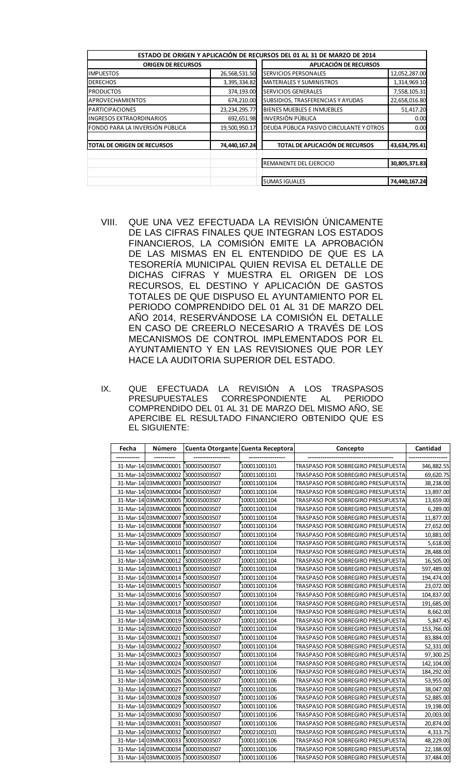|                                  |                  | ESTADO DE ORIGEN Y APLICACIÓN DE RECURSOS DEL 01 AL 31 DE MARZO DE 2014 |               |
|----------------------------------|------------------|-------------------------------------------------------------------------|---------------|
| <b>ORIGEN DE RECURSOS</b>        |                  | APLICACIÓN DE RECURSOS                                                  |               |
| <b>IMPUESTOS</b>                 | 26,568,531.50    | SERVICIOS PERSONALES                                                    | 12,052,287.00 |
| <b>DERECHOS</b>                  | 3,395,334.82     | <b>MATERIALES Y SUMINISTROS</b>                                         | 1,314,969.10  |
| <b>PRODUCTOS</b>                 | 374,193.00       | SERVICIOS GENERALES                                                     | 7,558,105.31  |
| APROVECHAMIENTOS                 | 674,210.00       | SUBSIDIOS, TRASFERENCIAS Y AYUDAS                                       | 22,658,016.80 |
| <b>PARTICIPACIONES</b>           | 23, 234, 295. 77 | BIENES MUEBLES E INMUEBLES                                              | 51,417.20     |
| <b>INGRESOS EXTRAORDINARIOS</b>  | 692,651.98       | <b>INVERSIÓN PÚBLICA</b>                                                | 0.00          |
| lFONDO PARA LA INVERSIÓN PÚBLICA | 19,500,950.17    | DEUDA PÚBLICA PASIVO CIRCULANTE Y OTROS                                 | 0.00          |
| TOTAL DE ORIGEN DE RECURSOS      | 74,440,167.24    | TOTAL DE APLICACIÓN DE RECURSOS                                         | 43,634,795.41 |
|                                  |                  | REMANENTE DEL EJERCICIO                                                 | 30,805,371.83 |
|                                  |                  | <b>SUMAS IGUALES</b>                                                    | 74,440,167.24 |

- VIII. QUE UNA VEZ EFECTUADA LA REVISIÓN ÚNICAMENTE DE LAS CIFRAS FINALES QUE INTEGRAN LOS ESTADOS FINANCIEROS, LA COMISIÓN EMITE LA APROBACIÓN DE LAS MISMAS EN EL ENTENDIDO DE QUE ES LA TESORERÍA MUNICIPAL QUIEN REVISA EL DETALLE DE DICHAS CIFRAS Y MUESTRA EL ORIGEN DE LOS RECURSOS, EL DESTINO Y APLICACIÓN DE GASTOS TOTALES DE QUE DISPUSO EL AYUNTAMIENTO POR EL PERIODO COMPRENDIDO DEL 01 AL 31 DE MARZO DEL AÑO 2014, RESERVÁNDOSE LA COMISIÓN EL DETALLE EN CASO DE CREERLO NECESARIO A TRAVÉS DE LOS MECANISMOS DE CONTROL IMPLEMENTADOS POR EL AYUNTAMIENTO Y EN LAS REVISIONES QUE POR LEY HACE LA AUDITORIA SUPERIOR DEL ESTADO.
- IX. QUE EFECTUADA LA REVISIÓN A LOS TRASPASOS CORRESPONDIENTE AL PERIODO COMPRENDIDO DEL 01 AL 31 DE MARZO DEL MISMO AÑO, SE APERCIBE EL RESULTADO FINANCIERO OBTENIDO QUE ES EL SIGUIENTE:

| Fecha | Número                            |                                    | Cuenta Otorgante Cuenta Receptora | Concepto                           | Cantidad   |
|-------|-----------------------------------|------------------------------------|-----------------------------------|------------------------------------|------------|
|       |                                   |                                    |                                   |                                    |            |
|       | 31-Mar-14 03MMC00001              | 300035003507                       | 100011001101                      | TRASPASO POR SOBREGIRO PRESUPUESTA | 346,882.55 |
|       |                                   | 31-Mar-14 03MMC00002 300035003507  | 100011001101                      | TRASPASO POR SOBREGIRO PRESUPUESTA | 69,620.75  |
|       |                                   | 31-Mar-14 03MMC00003 300035003507  | 100011001104                      | TRASPASO POR SOBREGIRO PRESUPUESTA | 38,238.00  |
|       | 31-Mar-14 03MMC00004 300035003507 |                                    | 100011001104                      | TRASPASO POR SOBREGIRO PRESUPUESTA | 13,897.00  |
|       |                                   | 31-Mar-14 03MMC00005 300035003507  | 100011001104                      | TRASPASO POR SOBREGIRO PRESUPUESTA | 13,659.00  |
|       | 31-Mar-14 03MMC00006 300035003507 |                                    | 100011001104                      | TRASPASO POR SOBREGIRO PRESUPUESTA | 6,289.00   |
|       | 31-Mar-14 03MMC00007              | 300035003507                       | 100011001104                      | TRASPASO POR SOBREGIRO PRESUPUESTA | 11,877.00  |
|       |                                   | 31-Mar-14 03MMC00008 300035003507  | 100011001104                      | TRASPASO POR SOBREGIRO PRESUPUESTA | 27,652.00  |
|       | 31-Mar-14 03MMC00009              | 300035003507                       | 100011001104                      | TRASPASO POR SOBREGIRO PRESUPUESTA | 10,881.00  |
|       | 31-Mar-14 03MMC00010              | 300035003507                       | 100011001104                      | TRASPASO POR SOBREGIRO PRESUPUESTA | 5,618.00   |
|       | 31-Mar-14 03MMC00011              | 300035003507                       | 100011001104                      | TRASPASO POR SOBREGIRO PRESUPUESTA | 28,488.00  |
|       | 31-Mar-14 03MMC00012              | 300035003507                       | 100011001104                      | TRASPASO POR SOBREGIRO PRESUPUESTA | 16,505.00  |
|       | 31-Mar-14 03MMC00013              | 300035003507                       | 100011001104                      | TRASPASO POR SOBREGIRO PRESUPUESTA | 597,489.00 |
|       | 31-Mar-14 03MMC00014              | 300035003507                       | 100011001104                      | TRASPASO POR SOBREGIRO PRESUPUESTA | 194,474.00 |
|       | 31-Mar-14 03 MMC00015             | 300035003507                       | 100011001104                      | TRASPASO POR SOBREGIRO PRESUPUESTA | 23,072.00  |
|       |                                   | 31-Mar-14 03MMC00016 300035003507  | 100011001104                      | TRASPASO POR SOBREGIRO PRESUPUESTA | 104,837.00 |
|       | 31-Mar-14 03MMC00017              | 300035003507                       | 100011001104                      | TRASPASO POR SOBREGIRO PRESUPUESTA | 191,685.00 |
|       |                                   | 31-Mar-14 03MMC00018 300035003507  | 100011001104                      | TRASPASO POR SOBREGIRO PRESUPUESTA | 8,662.00   |
|       | 31-Mar-14 03MMC00019              | 300035003507                       | 100011001104                      | TRASPASO POR SOBREGIRO PRESUPUESTA | 5,847.45   |
|       |                                   | 31-Mar-14 03MMC00020 500035003507  | 100011001104                      | TRASPASO POR SOBREGIRO PRESUPUESTA | 153,766.00 |
|       | 31-Mar-14 03MMC00021              | 300035003507                       | 100011001104                      | TRASPASO POR SOBREGIRO PRESUPUESTA | 83,884.00  |
|       | 31-Mar-14 03MMC00022              | 300035003507                       | 100011001104                      | TRASPASO POR SOBREGIRO PRESUPUESTA | 52,331.00  |
|       | 31-Mar-14 03MMC00023 300035003507 |                                    | 100011001104                      | TRASPASO POR SOBREGIRO PRESUPUESTA | 97,300.25  |
|       |                                   | 31-Mar-14 03MMC00024 [300035003507 | 100011001104                      | TRASPASO POR SOBREGIRO PRESUPUESTA | 142,104.00 |
|       | 31-Mar-14 03MMC00025 300035003507 |                                    | 100011001106                      | TRASPASO POR SOBREGIRO PRESUPUESTA | 184,292.00 |
|       | 31-Mar-14 03MMC00026 300035003507 |                                    | 100011001106                      | TRASPASO POR SOBREGIRO PRESUPUESTA | 53,955.00  |
|       | 31-Mar-14 03MMC00027              | 300035003507                       | 100011001106                      | TRASPASO POR SOBREGIRO PRESUPUESTA | 38,047.00  |
|       |                                   | 31-Mar-14 03MMC00028 300035003507  | 100011001106                      | TRASPASO POR SOBREGIRO PRESUPUESTA | 52,885.00  |
|       | 31-Mar-14 03MMC00029              | 300035003507                       | 100011001106                      | TRASPASO POR SOBREGIRO PRESUPUESTA | 19,198.00  |
|       | 31-Mar-14 03MMC00030 300035003507 |                                    | 100011001106                      | TRASPASO POR SOBREGIRO PRESUPUESTA | 20,003.00  |
|       |                                   | 31-Mar-14 03MMC00031 300035003507  | 100011001106                      | TRASPASO POR SOBREGIRO PRESUPUESTA | 20,874.00  |
|       |                                   | 31-Mar-14 03MMC00032 300035003507  | 200021002101                      | TRASPASO POR SOBREGIRO PRESUPUESTA | 4,313.75   |
|       |                                   | 31-Mar-14 03MMC00033 [300035003507 | 100011001106                      | TRASPASO POR SOBREGIRO PRESUPUESTA | 48,229.00  |
|       |                                   | 31-Mar-14 03MMC00034 500035003507  | 100011001106                      | TRASPASO POR SOBREGIRO PRESUPUESTA | 22,188.00  |
|       | 31-Mar-14 03MMC00035 300035003507 |                                    | 100011001106                      | TRASPASO POR SOBREGIRO PRESUPUESTA | 37,484.00  |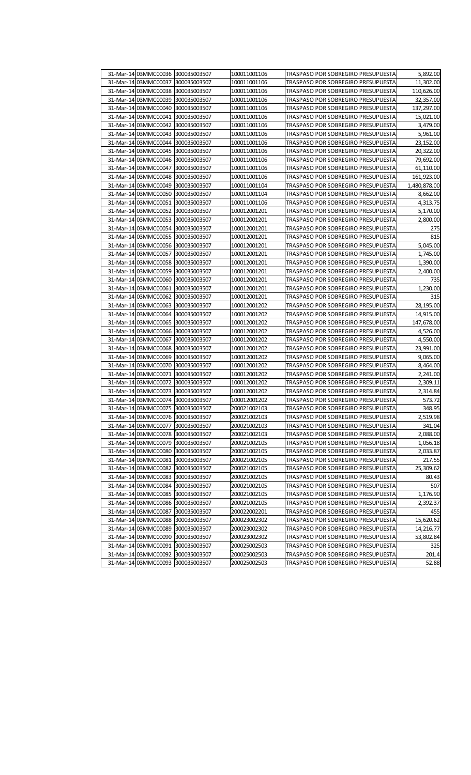| 31-Mar-14 03MMC00036 300035003507    | 100011001106 | TRASPASO POR SOBREGIRO PRESUPUESTA | 5,892.00     |
|--------------------------------------|--------------|------------------------------------|--------------|
| 31-Mar-14 03MMC00037<br>300035003507 | 100011001106 | TRASPASO POR SOBREGIRO PRESUPUESTA | 11,302.00    |
| 31-Mar-14 03MMC00038<br>300035003507 | 100011001106 | TRASPASO POR SOBREGIRO PRESUPUESTA | 110,626.00   |
| 31-Mar-14 03MMC00039<br>300035003507 | 100011001106 | TRASPASO POR SOBREGIRO PRESUPUESTA | 32,357.00    |
| 31-Mar-14 03MMC00040<br>300035003507 | 100011001106 | TRASPASO POR SOBREGIRO PRESUPUESTA | 137,297.00   |
| 31-Mar-14 03MMC00041<br>300035003507 | 100011001106 | TRASPASO POR SOBREGIRO PRESUPUESTA | 15,021.00    |
| 31-Mar-14 03MMC00042<br>300035003507 | 100011001106 | TRASPASO POR SOBREGIRO PRESUPUESTA | 3,479.00     |
| 31-Mar-14 03MMC00043<br>300035003507 | 100011001106 | TRASPASO POR SOBREGIRO PRESUPUESTA | 5,961.00     |
| 31-Mar-14 03MMC00044<br>300035003507 | 100011001106 | TRASPASO POR SOBREGIRO PRESUPUESTA | 23,152.00    |
| 31-Mar-14 03MMC00045<br>300035003507 | 100011001106 | TRASPASO POR SOBREGIRO PRESUPUESTA | 20,322.00    |
| 31-Mar-14 03MMC00046<br>300035003507 | 100011001106 | TRASPASO POR SOBREGIRO PRESUPUESTA | 79,692.00    |
| 31-Mar-14 03MMC00047<br>300035003507 | 100011001106 | TRASPASO POR SOBREGIRO PRESUPUESTA | 61,110.00    |
| 31-Mar-14 03MMC00048<br>300035003507 | 100011001106 | TRASPASO POR SOBREGIRO PRESUPUESTA | 161,923.00   |
| 31-Mar-14 03MMC00049<br>300035003507 | 100011001104 | TRASPASO POR SOBREGIRO PRESUPUESTA | 1,480,878.00 |
| 31-Mar-14 03MMC00050<br>300035003507 | 100011001104 | TRASPASO POR SOBREGIRO PRESUPUESTA | 8,662.00     |
| 31-Mar-14 03MMC00051<br>300035003507 | 100011001106 | TRASPASO POR SOBREGIRO PRESUPUESTA | 4,313.75     |
| 31-Mar-14 03MMC00052<br>300035003507 | 100012001201 | TRASPASO POR SOBREGIRO PRESUPUESTA | 5,170.00     |
| 31-Mar-14 03MMC00053<br>300035003507 | 100012001201 | TRASPASO POR SOBREGIRO PRESUPUESTA | 2,800.00     |
| 31-Mar-14 03MMC00054<br>300035003507 | 100012001201 | TRASPASO POR SOBREGIRO PRESUPUESTA | 275          |
| 31-Mar-14 03MMC00055<br>300035003507 | 100012001201 | TRASPASO POR SOBREGIRO PRESUPUESTA | 815          |
| 31-Mar-14 03MMC00056<br>300035003507 | 100012001201 | TRASPASO POR SOBREGIRO PRESUPUESTA | 5,045.00     |
| 31-Mar-14 03MMC00057<br>300035003507 | 100012001201 | TRASPASO POR SOBREGIRO PRESUPUESTA | 1,745.00     |
| 31-Mar-14 03MMC00058<br>300035003507 | 100012001201 | TRASPASO POR SOBREGIRO PRESUPUESTA | 1,390.00     |
| 31-Mar-14 03MMC00059<br>300035003507 | 100012001201 | TRASPASO POR SOBREGIRO PRESUPUESTA | 2,400.00     |
| 31-Mar-14 03MMC00060<br>300035003507 | 100012001201 | TRASPASO POR SOBREGIRO PRESUPUESTA | 735          |
| 31-Mar-14 03MMC00061<br>300035003507 | 100012001201 | TRASPASO POR SOBREGIRO PRESUPUESTA | 1,230.00     |
| 31-Mar-14 03MMC00062<br>300035003507 | 100012001201 | TRASPASO POR SOBREGIRO PRESUPUESTA | 315          |
| 31-Mar-14 03MMC00063<br>300035003507 | 100012001202 | TRASPASO POR SOBREGIRO PRESUPUESTA | 28,195.00    |
| 31-Mar-14 03MMC00064<br>300035003507 | 100012001202 | TRASPASO POR SOBREGIRO PRESUPUESTA | 14,915.00    |
| 31-Mar-14 03MMC00065<br>300035003507 | 100012001202 | TRASPASO POR SOBREGIRO PRESUPUESTA | 147,678.00   |
| 31-Mar-14 03MMC00066<br>300035003507 | 100012001202 | TRASPASO POR SOBREGIRO PRESUPUESTA | 4,526.00     |
| 31-Mar-14 03MMC00067<br>300035003507 | 100012001202 | TRASPASO POR SOBREGIRO PRESUPUESTA | 4,550.00     |
| 31-Mar-14 03MMC00068<br>300035003507 | 100012001202 | TRASPASO POR SOBREGIRO PRESUPUESTA | 23,991.00    |
| 31-Mar-14 03MMC00069<br>300035003507 | 100012001202 | TRASPASO POR SOBREGIRO PRESUPUESTA | 9,065.00     |
| 31-Mar-14 03MMC00070<br>300035003507 | 100012001202 | TRASPASO POR SOBREGIRO PRESUPUESTA | 8,464.00     |
| 31-Mar-14 03MMC00071<br>300035003507 | 100012001202 | TRASPASO POR SOBREGIRO PRESUPUESTA | 2,241.00     |
| 31-Mar-14 03MMC00072<br>300035003507 | 100012001202 | TRASPASO POR SOBREGIRO PRESUPUESTA | 2,309.11     |
| 31-Mar-14 03MMC00073<br>300035003507 | 100012001202 | TRASPASO POR SOBREGIRO PRESUPUESTA | 2,314.84     |
| 31-Mar-14 03MMC00074 300035003507    | 100012001202 | TRASPASO POR SOBREGIRO PRESUPUESTA | 573.72       |
| 31-Mar-14 03MMC00075 300035003507    | 200021002103 | TRASPASO POR SOBREGIRO PRESUPUESTA | 348.95       |
| 31-Mar-14 03MMC00076 300035003507    | 200021002103 | TRASPASO POR SOBREGIRO PRESUPUESTA | 2,519.98     |
| 31-Mar-14 03MMC00077 300035003507    | 200021002103 | TRASPASO POR SOBREGIRO PRESUPUESTA | 341.04       |
| 31-Mar-14 03MMC00078 300035003507    | 200021002103 | TRASPASO POR SOBREGIRO PRESUPUESTA | 2,088.00     |
| 31-Mar-14 03MMC00079<br>300035003507 | 200021002105 | TRASPASO POR SOBREGIRO PRESUPUESTA | 1,056.18     |
| 31-Mar-14 03MMC00080 300035003507    | 200021002105 | TRASPASO POR SOBREGIRO PRESUPUESTA | 2,033.87     |
| 31-Mar-14 03MMC00081 [300035003507   | 200021002105 | TRASPASO POR SOBREGIRO PRESUPUESTA | 217.55       |
| 31-Mar-14 03MMC00082<br>300035003507 | 200021002105 | TRASPASO POR SOBREGIRO PRESUPUESTA | 25,309.62    |
| 31-Mar-14 03MMC00083<br>300035003507 | 200021002105 | TRASPASO POR SOBREGIRO PRESUPUESTA | 80.43        |
| 31-Mar-14 03MMC00084 300035003507    | 200021002105 | TRASPASO POR SOBREGIRO PRESUPUESTA | 507          |
| 31-Mar-14 03MMC00085 300035003507    | 200021002105 | TRASPASO POR SOBREGIRO PRESUPUESTA | 1,176.90     |
| 31-Mar-14 03MMC00086 300035003507    | 200021002105 | TRASPASO POR SOBREGIRO PRESUPUESTA | 2,392.37     |
| 31-Mar-14 03MMC00087<br>300035003507 | 200022002201 | TRASPASO POR SOBREGIRO PRESUPUESTA | 455          |
| 31-Mar-14 03MMC00088 300035003507    | 200023002302 | TRASPASO POR SOBREGIRO PRESUPUESTA | 15,620.62    |
| 31-Mar-14 03MMC00089<br>300035003507 | 200023002302 | TRASPASO POR SOBREGIRO PRESUPUESTA | 14,216.77    |
| 31-Mar-14 03MMC00090<br>300035003507 | 200023002302 | TRASPASO POR SOBREGIRO PRESUPUESTA | 53,802.84    |
| 31-Mar-14 03MMC00091 300035003507    | 200025002503 | TRASPASO POR SOBREGIRO PRESUPUESTA | 325          |
| 31-Mar-14 03MMC00092 300035003507    | 200025002503 | TRASPASO POR SOBREGIRO PRESUPUESTA | 201.4        |
| 31-Mar-14 03MMC00093<br>300035003507 | 200025002503 | TRASPASO POR SOBREGIRO PRESUPUESTA | 52.88        |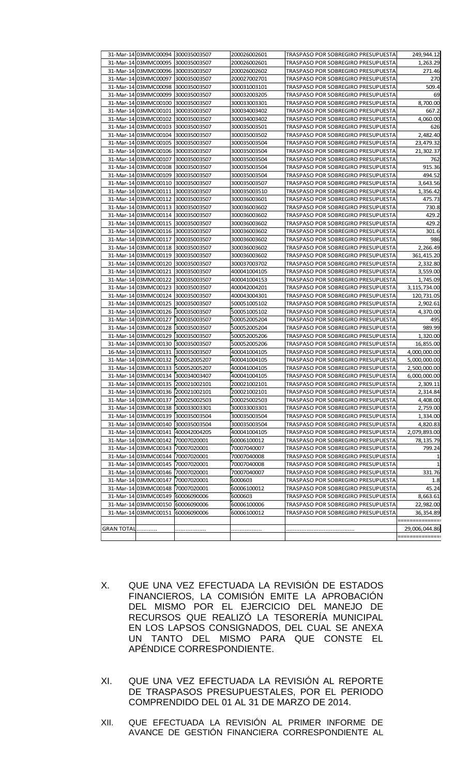|                   | 31-Mar-14 03MMC00094 300035003507                         |              | 200026002601                 | TRASPASO POR SOBREGIRO PRESUPUESTA                                       | 249,944.12            |
|-------------------|-----------------------------------------------------------|--------------|------------------------------|--------------------------------------------------------------------------|-----------------------|
|                   | 31-Mar-14 03MMC00095 300035003507                         |              | 200026002601                 | TRASPASO POR SOBREGIRO PRESUPUESTA                                       | 1.263.29              |
|                   | 31-Mar-14 03MMC00096 300035003507                         |              | 200026002602                 | TRASPASO POR SOBREGIRO PRESUPUESTA                                       | 271.46                |
|                   | 31-Mar-14 03MMC00097                                      | 300035003507 | 200027002701                 | TRASPASO POR SOBREGIRO PRESUPUESTA                                       | 270                   |
|                   | 31-Mar-14 03MMC00098                                      | 300035003507 | 300031003101                 | TRASPASO POR SOBREGIRO PRESUPUESTA                                       | 509.4                 |
|                   | 31-Mar-14 03MMC00099                                      | 300035003507 | 300032003205                 | TRASPASO POR SOBREGIRO PRESUPUESTA                                       | 69                    |
|                   | 31-Mar-14 03MMC00100                                      | 300035003507 | 300033003301                 | TRASPASO POR SOBREGIRO PRESUPUESTA                                       | 8,700.00              |
|                   | 31-Mar-14 03MMC00101                                      | 300035003507 | 300034003402                 | TRASPASO POR SOBREGIRO PRESUPUESTA                                       | 667.2                 |
|                   | 31-Mar-14 03MMC00102                                      | 300035003507 | 300034003402                 | TRASPASO POR SOBREGIRO PRESUPUESTA                                       | 4,060.00              |
|                   | 31-Mar-14 03MMC00103 300035003507                         |              | 300035003501                 | TRASPASO POR SOBREGIRO PRESUPUESTA                                       | 626                   |
|                   | 31-Mar-14 03MMC00104                                      | 300035003507 | 300035003502                 | TRASPASO POR SOBREGIRO PRESUPUESTA                                       | 2,482.40              |
|                   | 31-Mar-14 03MMC00105                                      | 300035003507 | 300035003504                 | TRASPASO POR SOBREGIRO PRESUPUESTA                                       | 23,479.32             |
|                   | 31-Mar-14 03MMC00106                                      | 300035003507 | 300035003504                 | TRASPASO POR SOBREGIRO PRESUPUESTA                                       | 21,302.37             |
|                   | 31-Mar-14 03MMC00107 300035003507                         |              | 300035003504                 | TRASPASO POR SOBREGIRO PRESUPUESTA                                       | 762                   |
|                   | 31-Mar-14 03MMC00108                                      | 300035003507 | 300035003504                 | TRASPASO POR SOBREGIRO PRESUPUESTA                                       | 915.36                |
|                   | 31-Mar-14 03MMC00109 300035003507                         |              | 300035003504                 | TRASPASO POR SOBREGIRO PRESUPUESTA                                       | 494.52                |
|                   | 31-Mar-14 03MMC00110                                      | 300035003507 | 300035003507                 | TRASPASO POR SOBREGIRO PRESUPUESTA                                       | 3,643.56              |
|                   | 31-Mar-14 03MMC00111                                      | 300035003507 | 300035003510                 | TRASPASO POR SOBREGIRO PRESUPUESTA                                       | 1,356.42              |
|                   | 31-Mar-14 03MMC00112                                      | 300035003507 | 300036003601                 | TRASPASO POR SOBREGIRO PRESUPUESTA                                       | 475.73                |
|                   | 31-Mar-14 03MMC00113 300035003507                         |              | 300036003602                 | TRASPASO POR SOBREGIRO PRESUPUESTA                                       | 730.8                 |
|                   | 31-Mar-14 03MMC00114                                      | 300035003507 | 300036003602                 | TRASPASO POR SOBREGIRO PRESUPUESTA                                       | 429.2                 |
|                   | 31-Mar-14 03MMC00115 300035003507                         |              | 300036003602                 | TRASPASO POR SOBREGIRO PRESUPUESTA                                       | 429.2                 |
|                   | 31-Mar-14 03MMC00116 300035003507                         |              | 300036003602                 | TRASPASO POR SOBREGIRO PRESUPUESTA                                       | 301.6                 |
|                   | 31-Mar-14 03MMC00117 300035003507                         |              | 300036003602                 | TRASPASO POR SOBREGIRO PRESUPUESTA                                       | 986                   |
|                   | 31-Mar-14 03MMC00118 300035003507                         |              | 300036003602                 | TRASPASO POR SOBREGIRO PRESUPUESTA                                       | 2,266.49              |
|                   | 31-Mar-14 03MMC00119 300035003507                         |              | 300036003602                 | TRASPASO POR SOBREGIRO PRESUPUESTA                                       | 361,415.20            |
|                   | 31-Mar-14 03MMC00120 300035003507                         |              | 300037003702                 | TRASPASO POR SOBREGIRO PRESUPUESTA                                       | 2,332.80              |
|                   | 31-Mar-14 03MMC00121 300035003507                         |              | 400041004105                 | TRASPASO POR SOBREGIRO PRESUPUESTA                                       |                       |
|                   | 31-Mar-14 03MMC00122 300035003507                         |              | 400041004153                 | TRASPASO POR SOBREGIRO PRESUPUESTA                                       | 3,559.00<br>1,745.09  |
|                   | 31-Mar-14 03MMC00123 300035003507                         |              | 400042004201                 | TRASPASO POR SOBREGIRO PRESUPUESTA                                       | 3,115,734.00          |
|                   | 31-Mar-14 03MMC00124 300035003507                         |              | 400043004301                 | TRASPASO POR SOBREGIRO PRESUPUESTA                                       | 120,731.05            |
|                   | 31-Mar-14 03MMC00125                                      | 300035003507 | 500051005102                 | TRASPASO POR SOBREGIRO PRESUPUESTA                                       | 2,902.61              |
|                   | 31-Mar-14 03MMC00126 300035003507                         |              | 500051005102                 | TRASPASO POR SOBREGIRO PRESUPUESTA                                       | 4,370.00              |
|                   | 31-Mar-14 03MMC00127                                      | 300035003507 | 500052005204                 | TRASPASO POR SOBREGIRO PRESUPUESTA                                       | 495                   |
|                   | 31-Mar-14 03MMC00128 300035003507                         |              | 500052005204                 | TRASPASO POR SOBREGIRO PRESUPUESTA                                       | 989.99                |
|                   | 31-Mar-14 03MMC00129                                      |              |                              |                                                                          |                       |
|                   | 31-Mar-14 03MMC00130 300035003507                         | 300035003507 | 500052005206<br>500052005206 | TRASPASO POR SOBREGIRO PRESUPUESTA<br>TRASPASO POR SOBREGIRO PRESUPUESTA | 1,320.00<br>16,855.00 |
|                   | 16-Mar-14 03MMC00131 300035003507                         |              | 400041004105                 |                                                                          |                       |
|                   |                                                           |              |                              | TRASPASO POR SOBREGIRO PRESUPUESTA                                       | 4,000,000.00          |
|                   | 31-Mar-14 03MMC00132 500052005207                         |              | 400041004105                 | TRASPASO POR SOBREGIRO PRESUPUESTA                                       | 5,000,000.00          |
|                   | 31-Mar-14 03MMC00133<br>31-Mar-14 03MMC00134 300034003407 | 500052005207 | 400041004105<br>400041004105 | TRASPASO POR SOBREGIRO PRESUPUESTA<br>TRASPASO POR SOBREGIRO PRESUPUESTA | 2,500,000.00          |
|                   | 31-Mar-14 03MMC00135 200021002101                         |              |                              |                                                                          | 6,000,000.00          |
|                   | 31-Mar-14 03MMC00136 200021002101                         |              | 200021002101                 | TRASPASO POR SOBREGIRO PRESUPUESTA                                       | 2,309.11              |
|                   | 31-Mar-14 03MMC00137 200025002503                         |              | 200021002101                 | TRASPASO POR SOBREGIRO PRESUPUESTA                                       | 2,314.84              |
|                   |                                                           |              | 200025002503                 | TRASPASO POR SOBREGIRO PRESUPUESTA                                       | 4,408.00              |
|                   | 31-Mar-14 03MMC00138 300033003301                         |              | 300033003301                 | TRASPASO POR SOBREGIRO PRESUPUESTA                                       | 2,759.00              |
|                   | 31-Mar-14 03MMC00139 300035003504                         |              | 300035003504                 | TRASPASO POR SOBREGIRO PRESUPUESTA                                       | 1,334.00              |
|                   | 31-Mar-14 03MMC00140 300035003504                         |              | 300035003504                 | TRASPASO POR SOBREGIRO PRESUPUESTA                                       | 4,820.83              |
|                   | 31-Mar-14 03MMC00141 400042004205                         |              | 400041004105                 | TRASPASO POR SOBREGIRO PRESUPUESTA                                       | 2,079,893.00          |
|                   | 31-Mar-14 03MMC00142 70007020001                          |              | 60006100012                  | TRASPASO POR SOBREGIRO PRESUPUESTA                                       | 78,135.79             |
|                   | 31-Mar-14 03MMC00143 70007020001                          |              | 70007040007                  | TRASPASO POR SOBREGIRO PRESUPUESTA                                       | 799.24                |
|                   | 31-Mar-14 03MMC00144 70007020001                          |              | 70007040008                  | TRASPASO POR SOBREGIRO PRESUPUESTA                                       |                       |
|                   | 31-Mar-14 03MMC00145 70007020001                          |              | 70007040008                  | TRASPASO POR SOBREGIRO PRESUPUESTA                                       |                       |
|                   | 31-Mar-14 03MMC00146 70007020001                          |              | 70007040007                  | TRASPASO POR SOBREGIRO PRESUPUESTA                                       | 331.76                |
|                   | 31-Mar-14 03MMC00147 70007020001                          |              | 6000603                      | TRASPASO POR SOBREGIRO PRESUPUESTA                                       | 1.8                   |
|                   | 31-Mar-14 03MMC00148 70007020001                          |              | 60006100012                  | TRASPASO POR SOBREGIRO PRESUPUESTA                                       | 45.24                 |
|                   | 31-Mar-14 03MMC00149 60006090006                          |              | 6000603                      | TRASPASO POR SOBREGIRO PRESUPUESTA                                       | 8,663.61              |
|                   | 31-Mar-14 03MMC00150 60006090006                          |              | 60006100006                  | TRASPASO POR SOBREGIRO PRESUPUESTA                                       | 22,982.00             |
|                   | 31-Mar-14 03MMC00151 60006090006                          |              | 60006100012                  | TRASPASO POR SOBREGIRO PRESUPUESTA                                       | 36,354.89             |
|                   |                                                           |              |                              |                                                                          |                       |
| <b>GRAN TOTAL</b> |                                                           |              |                              |                                                                          | 29,006,044.86         |
|                   |                                                           |              |                              |                                                                          |                       |

- X. QUE UNA VEZ EFECTUADA LA REVISIÓN DE ESTADOS FINANCIEROS, LA COMISIÓN EMITE LA APROBACIÓN DEL MISMO POR EL EJERCICIO DEL MANEJO DE RECURSOS QUE REALIZÓ LA TESORERÍA MUNICIPAL EN LOS LAPSOS CONSIGNADOS, DEL CUAL SE ANEXA UN TANTO DEL MISMO PARA QUE CONSTE EL APÉNDICE CORRESPONDIENTE.
- XI. QUE UNA VEZ EFECTUADA LA REVISIÓN AL REPORTE DE TRASPASOS PRESUPUESTALES, POR EL PERIODO COMPRENDIDO DEL 01 AL 31 DE MARZO DE 2014.
- XII. QUE EFECTUADA LA REVISIÓN AL PRIMER INFORME DE AVANCE DE GESTIÓN FINANCIERA CORRESPONDIENTE AL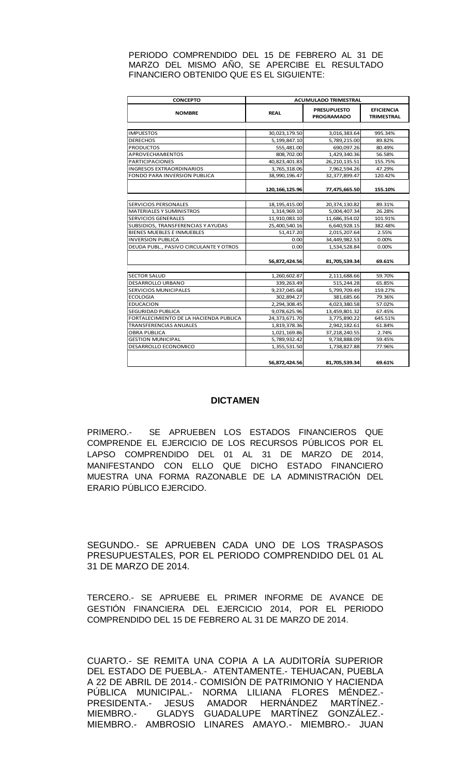#### PERIODO COMPRENDIDO DEL 15 DE FEBRERO AL 31 DE MARZO DEL MISMO AÑO, SE APERCIBE EL RESULTADO FINANCIERO OBTENIDO QUE ES EL SIGUIENTE:

| <b>CONCEPTO</b>                        | <b>ACUMULADO TRIMESTRAL</b> |                                         |                                        |  |  |
|----------------------------------------|-----------------------------|-----------------------------------------|----------------------------------------|--|--|
| <b>NOMBRE</b>                          | <b>REAL</b>                 | <b>PRESUPUESTO</b><br><b>PROGRAMADO</b> | <b>EFICIENCIA</b><br><b>TRIMESTRAL</b> |  |  |
|                                        |                             |                                         |                                        |  |  |
| <b>IMPUESTOS</b>                       | 30,023,179.50               | 3,016,383.64                            | 995.34%                                |  |  |
| <b>DERECHOS</b>                        | 5,199,847.10                | 5,789,215.00                            | 89.82%                                 |  |  |
| <b>PRODUCTOS</b>                       | 555,481.00                  | 690,097.26                              | 80.49%                                 |  |  |
| <b>APROVECHAMIENTOS</b>                | 808,702.00                  | 1,429,340.36                            | 56.58%                                 |  |  |
| <b>PARTICIPACIONES</b>                 | 40,823,401.83               | 26,210,135.51                           | 155.75%                                |  |  |
| <b>INGRESOS EXTRAORDINARIOS</b>        | 3,765,318.06                | 7,962,594.26                            | 47.29%                                 |  |  |
| FONDO PARA INVERSION PUBLICA           | 38,990,196.47               | 32,377,899.47                           | 120.42%                                |  |  |
|                                        | 120, 166, 125.96            | 77,475,665.50                           | 155.10%                                |  |  |
|                                        |                             |                                         |                                        |  |  |
| <b>SERVICIOS PERSONALES</b>            | 18, 195, 415.00             | 20,374,130.82                           | 89.31%                                 |  |  |
| MATERIALES Y SUMINISTROS               | 1,314,969.10                | 5,004,407.34                            | 26.28%                                 |  |  |
| <b>SERVICIOS GENERALES</b>             | 11,910,083.10               | 11,686,354.02                           | 101.91%                                |  |  |
| SUBSIDIOS, TRANSFERENCIAS Y AYUDAS     | 25,400,540.16               | 6,640,928.15                            | 382.48%                                |  |  |
| <b>BIENES MUEBLES E INMUEBLES</b>      | 51,417.20                   | 2,015,207.64                            | 2.55%                                  |  |  |
| <b>INVERSION PUBLICA</b>               | 0.00                        | 34,449,982.53                           | 0.00%                                  |  |  |
| DEUDA PUBL., PASIVO CIRCULANTE Y OTROS | 0.00                        | 1,534,528.84                            | 0.00%                                  |  |  |
|                                        | 56,872,424.56               | 81,705,539.34                           | 69.61%                                 |  |  |
|                                        |                             |                                         |                                        |  |  |
| <b>SECTOR SALUD</b>                    | 1,260,602.87                | 2,111,688.66                            | 59.70%                                 |  |  |
| DESARROLLO URBANO                      | 339,263.49                  | 515,244.28                              | 65.85%                                 |  |  |
| SERVICIOS MUNICIPALES                  | 9,237,045.68                | 5,799,709.49                            | 159.27%                                |  |  |
| <b>ECOLOGIA</b>                        | 302,894.27                  | 381,685.66                              | 79.36%                                 |  |  |
| <b>EDUCACION</b>                       | 2,294,308.45                | 4,023,380.58                            | 57.02%                                 |  |  |
| <b>SEGURIDAD PUBLICA</b>               | 9,078,625.96                | 13,459,801.32                           | 67.45%                                 |  |  |
| FORTALECIMIENTO DE LA HACIENDA PUBLICA | 24,373,671.70               | 3,775,890.22                            | 645.51%                                |  |  |
| <b>TRANSFERENCIAS ANUALES</b>          | 1,819,378.36                | 2,942,182.61                            | 61.84%                                 |  |  |
| <b>OBRA PUBLICA</b>                    | 1,021,169.86                | 37,218,240.55                           | 2.74%                                  |  |  |
| <b>GESTION MUNICIPAL</b>               | 5,789,932.42                | 9,738,888.09                            | 59.45%                                 |  |  |
| DESARROLLO ECONOMICO                   | 1,355,531.50                | 1,738,827.88                            | 77.96%                                 |  |  |
|                                        | 56,872,424.56               | 81,705,539.34                           | 69.61%                                 |  |  |

#### **DICTAMEN**

PRIMERO.- SE APRUEBEN LOS ESTADOS FINANCIEROS QUE COMPRENDE EL EJERCICIO DE LOS RECURSOS PÚBLICOS POR EL LAPSO COMPRENDIDO DEL 01 AL 31 DE MARZO DE 2014, MANIFESTANDO CON ELLO QUE DICHO ESTADO FINANCIERO MUESTRA UNA FORMA RAZONABLE DE LA ADMINISTRACIÓN DEL ERARIO PÚBLICO EJERCIDO.

SEGUNDO.- SE APRUEBEN CADA UNO DE LOS TRASPASOS PRESUPUESTALES, POR EL PERIODO COMPRENDIDO DEL 01 AL 31 DE MARZO DE 2014.

TERCERO.- SE APRUEBE EL PRIMER INFORME DE AVANCE DE GESTIÓN FINANCIERA DEL EJERCICIO 2014, POR EL PERIODO COMPRENDIDO DEL 15 DE FEBRERO AL 31 DE MARZO DE 2014.

CUARTO.- SE REMITA UNA COPIA A LA AUDITORÍA SUPERIOR DEL ESTADO DE PUEBLA.- ATENTAMENTE.- TEHUACAN, PUEBLA A 22 DE ABRIL DE 2014.- COMISIÓN DE PATRIMONIO Y HACIENDA PÚBLICA MUNICIPAL.- NORMA LILIANA FLORES MÉNDEZ.- PRESIDENTA.- JESUS AMADOR HERNÁNDEZ MARTÍNEZ.- MIEMBRO.- GLADYS GUADALUPE MARTÍNEZ GONZÁLEZ.- MIEMBRO.- AMBROSIO LINARES AMAYO.- MIEMBRO.- JUAN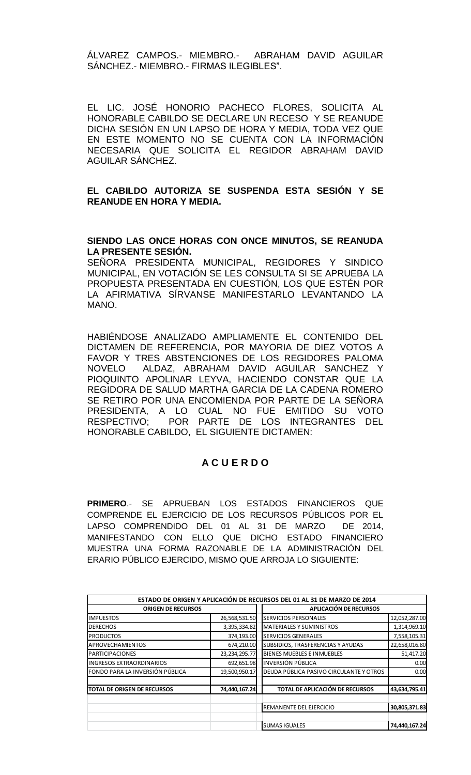ÁLVAREZ CAMPOS.- MIEMBRO.- ABRAHAM DAVID AGUILAR SÁNCHEZ.- MIEMBRO.- FIRMAS ILEGIBLES".

EL LIC. JOSÉ HONORIO PACHECO FLORES, SOLICITA AL HONORABLE CABILDO SE DECLARE UN RECESO Y SE REANUDE DICHA SESIÓN EN UN LAPSO DE HORA Y MEDIA, TODA VEZ QUE EN ESTE MOMENTO NO SE CUENTA CON LA INFORMACIÓN NECESARIA QUE SOLICITA EL REGIDOR ABRAHAM DAVID AGUILAR SÁNCHEZ.

### **EL CABILDO AUTORIZA SE SUSPENDA ESTA SESIÓN Y SE REANUDE EN HORA Y MEDIA.**

### **SIENDO LAS ONCE HORAS CON ONCE MINUTOS, SE REANUDA LA PRESENTE SESIÓN.**

SEÑORA PRESIDENTA MUNICIPAL, REGIDORES Y SINDICO MUNICIPAL, EN VOTACIÓN SE LES CONSULTA SI SE APRUEBA LA PROPUESTA PRESENTADA EN CUESTIÓN, LOS QUE ESTÉN POR LA AFIRMATIVA SÍRVANSE MANIFESTARLO LEVANTANDO LA MANO.

HABIÉNDOSE ANALIZADO AMPLIAMENTE EL CONTENIDO DEL DICTAMEN DE REFERENCIA, POR MAYORIA DE DIEZ VOTOS A FAVOR Y TRES ABSTENCIONES DE LOS REGIDORES PALOMA NOVELO ALDAZ, ABRAHAM DAVID AGUILAR SANCHEZ Y PIOQUINTO APOLINAR LEYVA, HACIENDO CONSTAR QUE LA REGIDORA DE SALUD MARTHA GARCIA DE LA CADENA ROMERO SE RETIRO POR UNA ENCOMIENDA POR PARTE DE LA SEÑORA PRESIDENTA, A LO CUAL NO FUE EMITIDO SU VOTO RESPECTIVO; POR PARTE DE LOS INTEGRANTES DEL HONORABLE CABILDO, EL SIGUIENTE DICTAMEN:

## **A C U E R D O**

**PRIMERO**.- SE APRUEBAN LOS ESTADOS FINANCIEROS QUE COMPRENDE EL EJERCICIO DE LOS RECURSOS PÚBLICOS POR EL LAPSO COMPRENDIDO DEL 01 AL 31 DE MARZO DE 2014, MANIFESTANDO CON ELLO QUE DICHO ESTADO FINANCIERO MUESTRA UNA FORMA RAZONABLE DE LA ADMINISTRACIÓN DEL ERARIO PÚBLICO EJERCIDO, MISMO QUE ARROJA LO SIGUIENTE:

|                                     |                  | ESTADO DE ORIGEN Y APLICACIÓN DE RECURSOS DEL 01 AL 31 DE MARZO DE 2014 |               |  |
|-------------------------------------|------------------|-------------------------------------------------------------------------|---------------|--|
| <b>ORIGEN DE RECURSOS</b>           |                  | APLICACIÓN DE RECURSOS                                                  |               |  |
| <b>IMPUESTOS</b>                    | 26,568,531.50    | <b>SERVICIOS PERSONALES</b>                                             | 12,052,287.00 |  |
| <b>DERECHOS</b>                     | 3,395,334.82     | <b>MATERIALES Y SUMINISTROS</b>                                         | 1,314,969.10  |  |
| <b>PRODUCTOS</b>                    | 374,193.00       | <b>SERVICIOS GENERALES</b>                                              | 7,558,105.31  |  |
| <b>IAPROVECHAMIENTOS</b>            | 674,210.00       | SUBSIDIOS, TRASFERENCIAS Y AYUDAS                                       | 22,658,016.80 |  |
| <b>PARTICIPACIONES</b>              | 23, 234, 295. 77 | BIENES MUEBLES E INMUEBLES                                              | 51,417.20     |  |
| <b>INGRESOS EXTRAORDINARIOS</b>     | 692,651.98       | INVERSIÓN PÚBLICA                                                       | 0.00          |  |
| FONDO PARA LA INVERSIÓN PÚBLICA     | 19,500,950.17    | DEUDA PÚBLICA PASIVO CIRCULANTE Y OTROS                                 | 0.00          |  |
| <b>ITOTAL DE ORIGEN DE RECURSOS</b> | 74,440,167.24    | TOTAL DE APLICACIÓN DE RECURSOS                                         | 43,634,795.41 |  |
|                                     |                  | REMANENTE DEL EJERCICIO                                                 | 30,805,371.83 |  |
|                                     |                  | <b>SUMAS IGUALES</b>                                                    | 74,440,167.24 |  |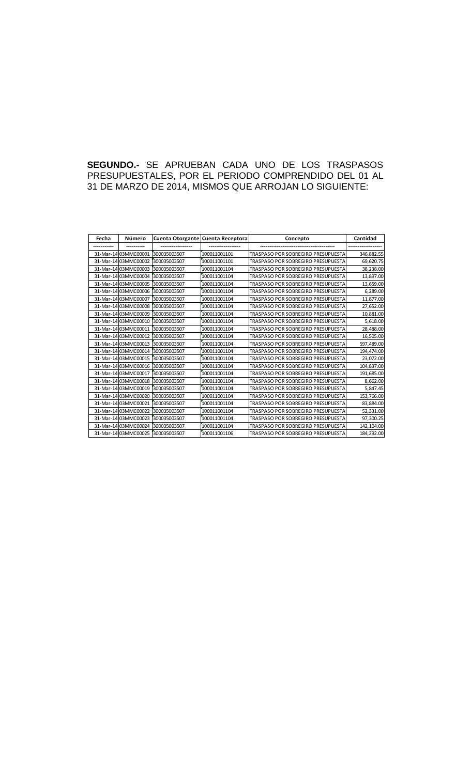## **SEGUNDO.-** SE APRUEBAN CADA UNO DE LOS TRASPASOS PRESUPUESTALES, POR EL PERIODO COMPRENDIDO DEL 01 AL 31 DE MARZO DE 2014, MISMOS QUE ARROJAN LO SIGUIENTE:

| Fecha | Número               | Cuenta Otorgante Cuenta Receptora |              | Concepto                                  | Cantidad    |
|-------|----------------------|-----------------------------------|--------------|-------------------------------------------|-------------|
|       |                      |                                   |              |                                           |             |
|       | 31-Mar-14 03MMC00001 | 300035003507                      | 100011001101 | TRASPASO POR SOBREGIRO PRESUPUESTA        | 346,882.55  |
|       | 31-Mar-14 03MMC00002 | 300035003507                      | 100011001101 | <b>TRASPASO POR SOBREGIRO PRESUPUESTA</b> | 69,620.75   |
|       | 31-Mar-14 03MMC00003 | 300035003507                      | 100011001104 | TRASPASO POR SOBREGIRO PRESUPUESTA        | 38,238.00   |
|       | 31-Mar-14 03MMC00004 | 300035003507                      | 100011001104 | <b>TRASPASO POR SOBREGIRO PRESUPUESTA</b> | 13,897.00   |
|       | 31-Mar-14 03MMC00005 | 300035003507                      | 100011001104 | <b>TRASPASO POR SOBREGIRO PRESUPUESTA</b> | 13,659.00   |
|       | 31-Mar-14 03MMC00006 | 300035003507                      | 100011001104 | <b>TRASPASO POR SOBREGIRO PRESUPUESTA</b> | 6,289.00    |
|       | 31-Mar-14 03MMC00007 | 300035003507                      | 100011001104 | TRASPASO POR SOBREGIRO PRESUPUESTA        | 11,877.00   |
|       | 31-Mar-14 03MMC00008 | 300035003507                      | 100011001104 | <b>TRASPASO POR SOBREGIRO PRESUPUESTA</b> | 27,652.00   |
|       | 31-Mar-14 03MMC00009 | 300035003507                      | 100011001104 | <b>TRASPASO POR SOBREGIRO PRESUPUESTA</b> | 10,881.00   |
|       | 31-Mar-14 03MMC00010 | 300035003507                      | 100011001104 | TRASPASO POR SOBREGIRO PRESUPUESTA        | 5,618.00    |
|       | 31-Mar-14 03MMC00011 | 300035003507                      | 100011001104 | <b>TRASPASO POR SOBREGIRO PRESUPUESTA</b> | 28,488.00   |
|       | 31-Mar-14 03MMC00012 | 300035003507                      | 100011001104 | <b>TRASPASO POR SOBREGIRO PRESUPUESTA</b> | 16,505.00   |
|       | 31-Mar-14 03MMC00013 | 300035003507                      | 100011001104 | <b>TRASPASO POR SOBREGIRO PRESUPUESTA</b> | 597,489.00  |
|       | 31-Mar-14 03MMC00014 | 300035003507                      | 100011001104 | <b>TRASPASO POR SOBREGIRO PRESUPUESTA</b> | 194,474.00  |
|       | 31-Mar-14 03MMC00015 | 300035003507                      | 100011001104 | <b>TRASPASO POR SOBREGIRO PRESUPUESTA</b> | 23,072.00   |
|       | 31-Mar-14 03MMC00016 | 300035003507                      | 100011001104 | TRASPASO POR SOBREGIRO PRESUPUESTA        | 104,837.00  |
|       | 31-Mar-14 03MMC00017 | 300035003507                      | 100011001104 | TRASPASO POR SOBREGIRO PRESUPUESTA        | 191,685.00  |
|       | 31-Mar-14 03MMC00018 | 300035003507                      | 100011001104 | TRASPASO POR SOBREGIRO PRESUPUESTA        | 8,662.00    |
|       | 31-Mar-14 03MMC00019 | 300035003507                      | 100011001104 | TRASPASO POR SOBREGIRO PRESUPUESTA        | 5,847.45    |
|       | 31-Mar-14 03MMC00020 | 300035003507                      | 100011001104 | TRASPASO POR SOBREGIRO PRESUPUESTA        | 153,766.00  |
|       | 31-Mar-14 03MMC00021 | 300035003507                      | 100011001104 | TRASPASO POR SOBREGIRO PRESUPUESTA        | 83,884.00   |
|       | 31-Mar-14 03MMC00022 | 300035003507                      | 100011001104 | TRASPASO POR SOBREGIRO PRESUPUESTA        | 52,331.00   |
|       | 31-Mar-14 03MMC00023 | 300035003507                      | 100011001104 | TRASPASO POR SOBREGIRO PRESUPUESTA        | 97,300.25   |
|       | 31-Mar-14 03MMC00024 | 300035003507                      | 100011001104 | TRASPASO POR SOBREGIRO PRESUPUESTA        | 142, 104.00 |
|       | 31-Mar-14 03MMC00025 | 300035003507                      | 100011001106 | <b>TRASPASO POR SOBREGIRO PRESUPUESTA</b> | 184,292.00  |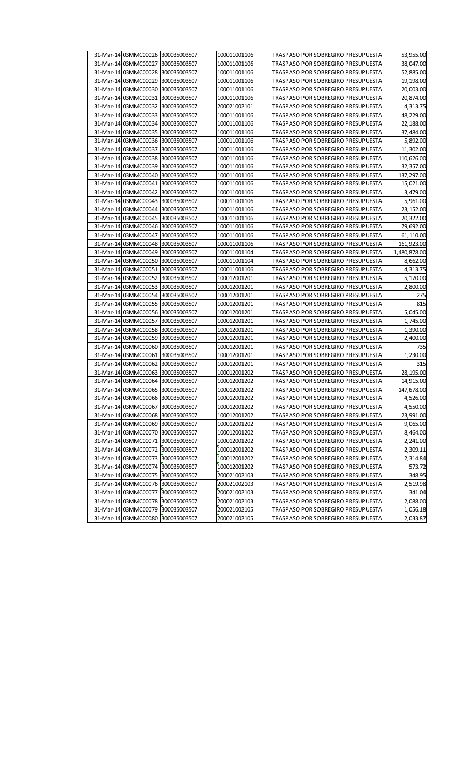| 31-Mar-14 03MMC00026 300035003507 |              | 100011001106 | TRASPASO POR SOBREGIRO PRESUPUESTA | 53,955.00    |
|-----------------------------------|--------------|--------------|------------------------------------|--------------|
| 31-Mar-14 03MMC00027              | 300035003507 | 100011001106 | TRASPASO POR SOBREGIRO PRESUPUESTA | 38,047.00    |
| 31-Mar-14 03MMC00028              | 300035003507 | 100011001106 | TRASPASO POR SOBREGIRO PRESUPUESTA | 52,885.00    |
| 31-Mar-14 03MMC00029              | 300035003507 | 100011001106 | TRASPASO POR SOBREGIRO PRESUPUESTA | 19,198.00    |
| 31-Mar-14 03MMC00030              | 300035003507 | 100011001106 | TRASPASO POR SOBREGIRO PRESUPUESTA | 20,003.00    |
| 31-Mar-14 03MMC00031              | 300035003507 | 100011001106 | TRASPASO POR SOBREGIRO PRESUPUESTA | 20,874.00    |
| 31-Mar-14 03MMC00032              | 300035003507 | 200021002101 | TRASPASO POR SOBREGIRO PRESUPUESTA | 4,313.75     |
| 31-Mar-14 03MMC00033              | 300035003507 | 100011001106 | TRASPASO POR SOBREGIRO PRESUPUESTA | 48,229.00    |
| 31-Mar-14 03MMC00034              | 300035003507 | 100011001106 | TRASPASO POR SOBREGIRO PRESUPUESTA | 22,188.00    |
| 31-Mar-14 03MMC00035              | 300035003507 | 100011001106 | TRASPASO POR SOBREGIRO PRESUPUESTA | 37,484.00    |
| 31-Mar-14 03MMC00036 300035003507 |              | 100011001106 | TRASPASO POR SOBREGIRO PRESUPUESTA | 5,892.00     |
| 31-Mar-14 03MMC00037              | 300035003507 | 100011001106 | TRASPASO POR SOBREGIRO PRESUPUESTA | 11,302.00    |
| 31-Mar-14 03MMC00038              | 300035003507 | 100011001106 | TRASPASO POR SOBREGIRO PRESUPUESTA | 110,626.00   |
| 31-Mar-14 03MMC00039              | 300035003507 | 100011001106 | TRASPASO POR SOBREGIRO PRESUPUESTA | 32,357.00    |
| 31-Mar-14 03MMC00040              | 300035003507 | 100011001106 | TRASPASO POR SOBREGIRO PRESUPUESTA | 137,297.00   |
| 31-Mar-14 03MMC00041              | 300035003507 | 100011001106 | TRASPASO POR SOBREGIRO PRESUPUESTA | 15,021.00    |
| 31-Mar-14 03MMC00042              | 300035003507 | 100011001106 | TRASPASO POR SOBREGIRO PRESUPUESTA | 3,479.00     |
| 31-Mar-14 03MMC00043              | 300035003507 | 100011001106 | TRASPASO POR SOBREGIRO PRESUPUESTA | 5,961.00     |
| 31-Mar-14 03MMC00044              | 300035003507 | 100011001106 | TRASPASO POR SOBREGIRO PRESUPUESTA | 23,152.00    |
| 31-Mar-14 03MMC00045              | 300035003507 | 100011001106 | TRASPASO POR SOBREGIRO PRESUPUESTA | 20,322.00    |
| 31-Mar-14 03MMC00046              | 300035003507 | 100011001106 | TRASPASO POR SOBREGIRO PRESUPUESTA | 79,692.00    |
| 31-Mar-14 03MMC00047              | 300035003507 | 100011001106 | TRASPASO POR SOBREGIRO PRESUPUESTA | 61,110.00    |
| 31-Mar-14 03MMC00048              | 300035003507 | 100011001106 | TRASPASO POR SOBREGIRO PRESUPUESTA | 161,923.00   |
| 31-Mar-14 03MMC00049              | 300035003507 | 100011001104 | TRASPASO POR SOBREGIRO PRESUPUESTA | 1,480,878.00 |
| 31-Mar-14 03MMC00050              | 300035003507 | 100011001104 | TRASPASO POR SOBREGIRO PRESUPUESTA | 8,662.00     |
| 31-Mar-14 03MMC00051              | 300035003507 | 100011001106 | TRASPASO POR SOBREGIRO PRESUPUESTA | 4,313.75     |
| 31-Mar-14 03MMC00052              | 300035003507 | 100012001201 | TRASPASO POR SOBREGIRO PRESUPUESTA | 5,170.00     |
| 31-Mar-14 03MMC00053              | 300035003507 | 100012001201 | TRASPASO POR SOBREGIRO PRESUPUESTA | 2,800.00     |
| 31-Mar-14 03MMC00054              | 300035003507 | 100012001201 | TRASPASO POR SOBREGIRO PRESUPUESTA | 275          |
| 31-Mar-14 03MMC00055              | 300035003507 | 100012001201 | TRASPASO POR SOBREGIRO PRESUPUESTA | 815          |
| 31-Mar-14 03MMC00056              | 300035003507 | 100012001201 | TRASPASO POR SOBREGIRO PRESUPUESTA | 5,045.00     |
| 31-Mar-14 03MMC00057              | 300035003507 | 100012001201 | TRASPASO POR SOBREGIRO PRESUPUESTA | 1,745.00     |
| 31-Mar-14 03MMC00058              | 300035003507 | 100012001201 | TRASPASO POR SOBREGIRO PRESUPUESTA | 1,390.00     |
| 31-Mar-14 03MMC00059              | 300035003507 | 100012001201 | TRASPASO POR SOBREGIRO PRESUPUESTA | 2,400.00     |
| 31-Mar-14 03MMC00060              | 300035003507 | 100012001201 | TRASPASO POR SOBREGIRO PRESUPUESTA | 735          |
| 31-Mar-14 03MMC00061              | 300035003507 | 100012001201 | TRASPASO POR SOBREGIRO PRESUPUESTA | 1,230.00     |
| 31-Mar-14 03MMC00062              | 300035003507 | 100012001201 | TRASPASO POR SOBREGIRO PRESUPUESTA | 315          |
| 31-Mar-14 03MMC00063              | 300035003507 | 100012001202 | TRASPASO POR SOBREGIRO PRESUPUESTA | 28,195.00    |
| 31-Mar-14 03MMC00064              | 300035003507 | 100012001202 | TRASPASO POR SOBREGIRO PRESUPUESTA | 14,915.00    |
| 31-Mar-14 03MMC00065 300035003507 |              | 100012001202 | TRASPASO POR SOBREGIRO PRESUPUESTA | 147,678.00   |
| 31-Mar-14 03MMC00066 300035003507 |              | 100012001202 | TRASPASO POR SOBREGIRO PRESUPUESTA | 4,526.00     |
| 31-Mar-14 03MMC00067              | 300035003507 | 100012001202 | TRASPASO POR SOBREGIRO PRESUPUESTA | 4,550.00     |
| 31-Mar-14 03MMC00068              | 300035003507 | 100012001202 | TRASPASO POR SOBREGIRO PRESUPUESTA | 23,991.00    |
| 31-Mar-14 03MMC00069              | 300035003507 | 100012001202 | TRASPASO POR SOBREGIRO PRESUPUESTA | 9,065.00     |
| 31-Mar-14 03MMC00070              | 300035003507 | 100012001202 | TRASPASO POR SOBREGIRO PRESUPUESTA | 8,464.00     |
| 31-Mar-14 03MMC00071              | 300035003507 | 100012001202 | TRASPASO POR SOBREGIRO PRESUPUESTA | 2,241.00     |
| 31-Mar-14 03MMC00072              | 300035003507 | 100012001202 | TRASPASO POR SOBREGIRO PRESUPUESTA | 2,309.11     |
| 31-Mar-14 03MMC00073              | 300035003507 | 100012001202 | TRASPASO POR SOBREGIRO PRESUPUESTA | 2,314.84     |
| 31-Mar-14 03MMC00074              | 300035003507 | 100012001202 | TRASPASO POR SOBREGIRO PRESUPUESTA | 573.72       |
| 31-Mar-14 03MMC00075              | 300035003507 | 200021002103 | TRASPASO POR SOBREGIRO PRESUPUESTA | 348.95       |
| 31-Mar-14 03MMC00076 300035003507 |              | 200021002103 | TRASPASO POR SOBREGIRO PRESUPUESTA | 2,519.98     |
| 31-Mar-14 03MMC00077              | 300035003507 | 200021002103 | TRASPASO POR SOBREGIRO PRESUPUESTA | 341.04       |
| 31-Mar-14 03MMC00078              | 300035003507 | 200021002103 | TRASPASO POR SOBREGIRO PRESUPUESTA | 2,088.00     |
| 31-Mar-14 03MMC00079              | 300035003507 | 200021002105 | TRASPASO POR SOBREGIRO PRESUPUESTA | 1,056.18     |
| 31-Mar-14 03MMC00080              | 300035003507 | 200021002105 | TRASPASO POR SOBREGIRO PRESUPUESTA | 2,033.87     |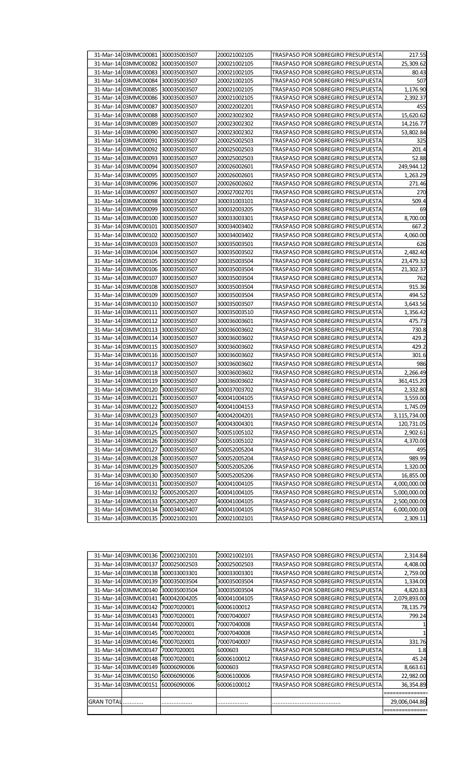| 31-Mar-14 03MMC00081 300035003507 |              | 200021002105 | TRASPASO POR SOBREGIRO PRESUPUESTA        | 217.55       |
|-----------------------------------|--------------|--------------|-------------------------------------------|--------------|
| 31-Mar-14 03MMC00082              | 300035003507 | 200021002105 | TRASPASO POR SOBREGIRO PRESUPUESTA        | 25,309.62    |
| 31-Mar-14 03MMC00083 300035003507 |              | 200021002105 | TRASPASO POR SOBREGIRO PRESUPUESTA        | 80.43        |
| 31-Mar-14 03MMC00084              | 300035003507 | 200021002105 | TRASPASO POR SOBREGIRO PRESUPUESTA        | 507          |
| 31-Mar-14 03MMC00085              | 300035003507 | 200021002105 | <b>TRASPASO POR SOBREGIRO PRESUPUESTA</b> | 1,176.90     |
| 31-Mar-14 03MMC00086              | 300035003507 | 200021002105 | TRASPASO POR SOBREGIRO PRESUPUESTA        | 2,392.37     |
| 31-Mar-14 03MMC00087              | 300035003507 | 200022002201 | TRASPASO POR SOBREGIRO PRESUPUESTA        | 455          |
| 31-Mar-14 03MMC00088              | 300035003507 | 200023002302 | TRASPASO POR SOBREGIRO PRESUPUESTA        | 15,620.62    |
| 31-Mar-14 03MMC00089              | 300035003507 | 200023002302 | TRASPASO POR SOBREGIRO PRESUPUESTA        | 14,216.77    |
| 31-Mar-14 03MMC00090              | 300035003507 | 200023002302 | TRASPASO POR SOBREGIRO PRESUPUESTA        | 53,802.84    |
| 31-Mar-14 03MMC00091              | 300035003507 | 200025002503 | TRASPASO POR SOBREGIRO PRESUPUESTA        | 325          |
| 31-Mar-14 03MMC00092              | 300035003507 | 200025002503 | TRASPASO POR SOBREGIRO PRESUPUESTA        | 201.4        |
| 31-Mar-14 03MMC00093 300035003507 |              | 200025002503 | TRASPASO POR SOBREGIRO PRESUPUESTA        | 52.88        |
| 31-Mar-14 03MMC00094              | 300035003507 | 200026002601 | TRASPASO POR SOBREGIRO PRESUPUESTA        | 249,944.12   |
| 31-Mar-14 03MMC00095              | 300035003507 | 200026002601 | TRASPASO POR SOBREGIRO PRESUPUESTA        | 1,263.29     |
| 31-Mar-14 03MMC00096              | 300035003507 | 200026002602 | TRASPASO POR SOBREGIRO PRESUPUESTA        | 271.46       |
| 31-Mar-14 03MMC00097              | 300035003507 | 200027002701 | TRASPASO POR SOBREGIRO PRESUPUESTA        | 270          |
| 31-Mar-14 03MMC00098              | 300035003507 | 300031003101 | TRASPASO POR SOBREGIRO PRESUPUESTA        | 509.4        |
| 31-Mar-14 03MMC00099              | 300035003507 | 300032003205 | TRASPASO POR SOBREGIRO PRESUPUESTA        | 69           |
| 31-Mar-14 03MMC00100              | 300035003507 | 300033003301 | TRASPASO POR SOBREGIRO PRESUPUESTA        | 8,700.00     |
| 31-Mar-14 03MMC00101              | 300035003507 | 300034003402 | TRASPASO POR SOBREGIRO PRESUPUESTA        | 667.2        |
| 31-Mar-14 03MMC00102              | 300035003507 | 300034003402 | TRASPASO POR SOBREGIRO PRESUPUESTA        | 4,060.00     |
| 31-Mar-14 03MMC00103              | 300035003507 | 300035003501 | TRASPASO POR SOBREGIRO PRESUPUESTA        | 626          |
| 31-Mar-14 03MMC00104              | 300035003507 | 300035003502 | TRASPASO POR SOBREGIRO PRESUPUESTA        | 2,482.40     |
| 31-Mar-14 03MMC00105              | 300035003507 | 300035003504 | TRASPASO POR SOBREGIRO PRESUPUESTA        | 23,479.32    |
| 31-Mar-14 03MMC00106              | 300035003507 | 300035003504 | TRASPASO POR SOBREGIRO PRESUPUESTA        | 21,302.37    |
| 31-Mar-14 03MMC00107              | 300035003507 | 300035003504 | TRASPASO POR SOBREGIRO PRESUPUESTA        | 762          |
| 31-Mar-14 03MMC00108              | 300035003507 | 300035003504 | TRASPASO POR SOBREGIRO PRESUPUESTA        | 915.36       |
| 31-Mar-14 03MMC00109              | 300035003507 | 300035003504 | TRASPASO POR SOBREGIRO PRESUPUESTA        | 494.52       |
| 31-Mar-14 03MMC00110              | 300035003507 | 300035003507 | TRASPASO POR SOBREGIRO PRESUPUESTA        | 3,643.56     |
| 31-Mar-14 03MMC00111              | 300035003507 | 300035003510 | TRASPASO POR SOBREGIRO PRESUPUESTA        | 1,356.42     |
| 31-Mar-14 03MMC00112              | 300035003507 | 300036003601 | TRASPASO POR SOBREGIRO PRESUPUESTA        | 475.73       |
| 31-Mar-14 03MMC00113              | 300035003507 | 300036003602 | TRASPASO POR SOBREGIRO PRESUPUESTA        | 730.8        |
| 31-Mar-14 03MMC00114              | 300035003507 | 300036003602 | TRASPASO POR SOBREGIRO PRESUPUESTA        | 429.2        |
| 31-Mar-14 03MMC00115              | 300035003507 | 300036003602 | TRASPASO POR SOBREGIRO PRESUPUESTA        | 429.2        |
| 31-Mar-14 03MMC00116              | 300035003507 | 300036003602 | TRASPASO POR SOBREGIRO PRESUPUESTA        | 301.6        |
| 31-Mar-14 03MMC00117              | 300035003507 | 300036003602 | TRASPASO POR SOBREGIRO PRESUPUESTA        | 986          |
| 31-Mar-14 03MMC00118 300035003507 |              | 300036003602 | TRASPASO POR SOBREGIRO PRESUPUESTA        | 2,266.49     |
| 31-Mar-14 03MMC00119 300035003507 |              | 300036003602 | TRASPASO POR SOBREGIRO PRESUPUESTA        | 361,415.20   |
| 31-Mar-14 03MMC00120 300035003507 |              | 300037003702 | TRASPASO POR SOBREGIRO PRESUPUESTA        | 2,332.80     |
| 31-Mar-14 03MMC00121 300035003507 |              | 400041004105 | TRASPASO POR SOBREGIRO PRESUPUESTA        | 3,559.00     |
| 31-Mar-14 03MMC00122              | 300035003507 | 400041004153 | TRASPASO POR SOBREGIRO PRESUPUESTA        | 1,745.09     |
| 31-Mar-14 03MMC00123 300035003507 |              | 400042004201 | TRASPASO POR SOBREGIRO PRESUPUESTA        | 3,115,734.00 |
| 31-Mar-14 03MMC00124 300035003507 |              | 400043004301 | TRASPASO POR SOBREGIRO PRESUPUESTA        | 120,731.05   |
| 31-Mar-14 03MMC00125 300035003507 |              | 500051005102 | TRASPASO POR SOBREGIRO PRESUPUESTA        | 2,902.61     |
| 31-Mar-14 03MMC00126 300035003507 |              | 500051005102 | TRASPASO POR SOBREGIRO PRESUPUESTA        | 4,370.00     |
| 31-Mar-14 03MMC00127 300035003507 |              | 500052005204 | TRASPASO POR SOBREGIRO PRESUPUESTA        | 495          |
| 31-Mar-14 03MMC00128              | 300035003507 | 500052005204 | TRASPASO POR SOBREGIRO PRESUPUESTA        | 989.99       |
| 31-Mar-14 03MMC00129              | 300035003507 | 500052005206 | TRASPASO POR SOBREGIRO PRESUPUESTA        | 1,320.00     |
| 31-Mar-14 03MMC00130              | 300035003507 | 500052005206 | TRASPASO POR SOBREGIRO PRESUPUESTA        | 16,855.00    |
| 16-Mar-14 03MMC00131              | 300035003507 | 400041004105 | TRASPASO POR SOBREGIRO PRESUPUESTA        | 4,000,000.00 |
| 31-Mar-14 03MMC00132 500052005207 |              | 400041004105 | TRASPASO POR SOBREGIRO PRESUPUESTA        | 5,000,000.00 |
| 31-Mar-14 03MMC00133 500052005207 |              | 400041004105 | TRASPASO POR SOBREGIRO PRESUPUESTA        | 2,500,000.00 |
| 31-Mar-14 03MMC00134 300034003407 |              | 400041004105 | TRASPASO POR SOBREGIRO PRESUPUESTA        | 6,000,000.00 |
| 31-Mar-14 03MMC00135 200021002101 |              | 200021002101 | TRASPASO POR SOBREGIRO PRESUPUESTA        | 2,309.11     |

|            | 31-Mar-14 03MMC00136 200021002101 |              | 200021002101 | <b>TRASPASO POR SOBREGIRO PRESUPUESTA</b> | 2,314.84      |
|------------|-----------------------------------|--------------|--------------|-------------------------------------------|---------------|
|            | 31-Mar-14 03MMC00137              | 200025002503 | 200025002503 | <b>TRASPASO POR SOBREGIRO PRESUPUESTA</b> | 4,408.00      |
|            | 31-Mar-14 03MMC00138              | 300033003301 | 300033003301 | <b>TRASPASO POR SOBREGIRO PRESUPUESTA</b> | 2,759.00      |
|            | 31-Mar-14 03MMC00139              | 300035003504 | 300035003504 | TRASPASO POR SOBREGIRO PRESUPUESTA        | 1,334.00      |
|            | 31-Mar-14 03MMC00140              | 300035003504 | 300035003504 | TRASPASO POR SOBREGIRO PRESUPUESTA        | 4,820.83      |
|            | 31-Mar-14 03MMC00141              | 400042004205 | 400041004105 | <b>TRASPASO POR SOBREGIRO PRESUPUESTA</b> | 2,079,893.00  |
|            | 31-Mar-14 03MMC00142              | 70007020001  | 60006100012  | TRASPASO POR SOBREGIRO PRESUPUESTA        | 78,135.79     |
|            | 31-Mar-14 03MMC00143              | 70007020001  | 70007040007  | <b>TRASPASO POR SOBREGIRO PRESUPUESTA</b> | 799.24        |
|            | 31-Mar-14 03MMC00144              | 70007020001  | 70007040008  | TRASPASO POR SOBREGIRO PRESUPUESTA        |               |
|            | 31-Mar-14 03MMC00145              | 70007020001  | 70007040008  | <b>TRASPASO POR SOBREGIRO PRESUPUESTA</b> |               |
|            | 31-Mar-14 03MMC00146              | 70007020001  | 70007040007  | <b>TRASPASO POR SOBREGIRO PRESUPUESTA</b> | 331.76        |
|            | 31-Mar-14 03MMC00147              | 70007020001  | 6000603      | TRASPASO POR SOBREGIRO PRESUPUESTA        | 1.8           |
|            | 31-Mar-14 03MMC00148              | 70007020001  | 60006100012  | <b>TRASPASO POR SOBREGIRO PRESUPUESTA</b> | 45.24         |
|            | 31-Mar-14 03MMC00149              | 60006090006  | 6000603      | <b>TRASPASO POR SOBREGIRO PRESUPUESTA</b> | 8,663.61      |
|            | 31-Mar-14 03MMC00150              | 60006090006  | 60006100006  | TRASPASO POR SOBREGIRO PRESUPUESTA        | 22,982.00     |
|            | 31-Mar-14 03MMC00151              | 60006090006  | 60006100012  | <b>TRASPASO POR SOBREGIRO PRESUPUESTA</b> | 36,354.89     |
|            |                                   |              |              |                                           |               |
| GRAN TOTAL |                                   | .            | .            |                                           | 29,006,044.86 |
|            |                                   |              |              |                                           |               |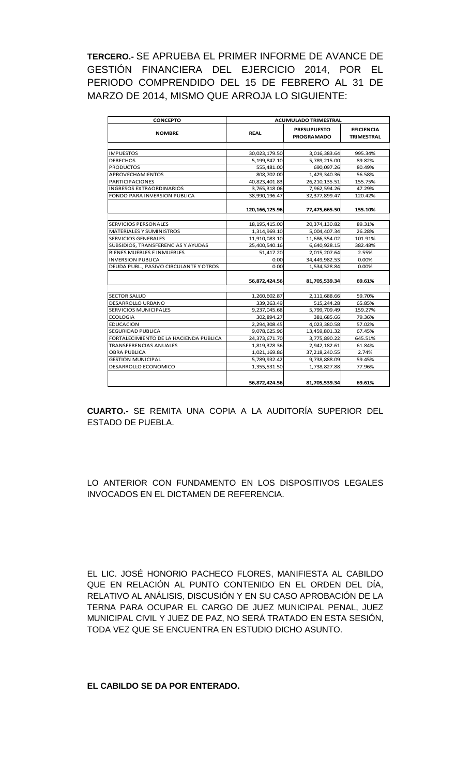**TERCERO.-** SE APRUEBA EL PRIMER INFORME DE AVANCE DE GESTIÓN FINANCIERA DEL EJERCICIO 2014, POR EL PERIODO COMPRENDIDO DEL 15 DE FEBRERO AL 31 DE MARZO DE 2014, MISMO QUE ARROJA LO SIGUIENTE:

| <b>CONCEPTO</b>                        | <b>ACUMULADO TRIMESTRAL</b> |                                         |                                        |  |  |
|----------------------------------------|-----------------------------|-----------------------------------------|----------------------------------------|--|--|
| <b>NOMBRE</b>                          | <b>REAL</b>                 | <b>PRESUPUESTO</b><br><b>PROGRAMADO</b> | <b>EFICIENCIA</b><br><b>TRIMESTRAL</b> |  |  |
|                                        |                             |                                         |                                        |  |  |
| <b>IMPUESTOS</b>                       | 30,023,179.50               | 3,016,383.64                            | 995.34%                                |  |  |
| <b>DERECHOS</b>                        | 5,199,847.10                | 5,789,215.00                            | 89.82%                                 |  |  |
| <b>PRODUCTOS</b>                       | 555,481.00                  | 690.097.26                              | 80.49%                                 |  |  |
| APROVECHAMIENTOS                       | 808,702.00                  | 1,429,340.36                            | 56.58%                                 |  |  |
| <b>PARTICIPACIONES</b>                 | 40,823,401.83               | 26,210,135.51                           | 155.75%                                |  |  |
| <b>INGRESOS EXTRAORDINARIOS</b>        | 3,765,318.06                | 7,962,594.26                            | 47.29%                                 |  |  |
| <b>FONDO PARA INVERSION PUBLICA</b>    | 38,990,196.47               | 32,377,899.47                           | 120.42%                                |  |  |
|                                        | 120, 166, 125.96            | 77,475,665.50                           | 155.10%                                |  |  |
|                                        |                             |                                         |                                        |  |  |
| SERVICIOS PERSONALES                   | 18, 195, 415.00             | 20,374,130.82                           | 89.31%                                 |  |  |
| <b>MATERIALES Y SUMINISTROS</b>        | 1,314,969.10                | 5,004,407.34                            | 26.28%                                 |  |  |
| <b>SERVICIOS GENERALES</b>             | 11,910,083.10               | 11,686,354.02                           | 101.91%                                |  |  |
| SUBSIDIOS, TRANSFERENCIAS Y AYUDAS     | 25,400,540.16               | 6,640,928.15                            | 382.48%                                |  |  |
| <b>BIENES MUEBLES E INMUEBLES</b>      | 51,417.20                   | 2,015,207.64                            | 2.55%                                  |  |  |
| <b>INVERSION PUBLICA</b>               | 0.00                        | 34,449,982.53                           | 0.00%                                  |  |  |
| DEUDA PUBL., PASIVO CIRCULANTE Y OTROS | 0.00                        | 1,534,528.84                            | $0.00\%$                               |  |  |
|                                        | 56,872,424.56               | 81,705,539.34                           | 69.61%                                 |  |  |
| <b>SECTOR SALUD</b>                    | 1,260,602.87                | 2,111,688.66                            | 59.70%                                 |  |  |
| DESARROLLO URBANO                      | 339,263.49                  | 515,244.28                              | 65.85%                                 |  |  |
| <b>SERVICIOS MUNICIPALES</b>           | 9,237,045.68                | 5,799,709.49                            | 159.27%                                |  |  |
| <b>ECOLOGIA</b>                        | 302.894.27                  | 381,685.66                              | 79.36%                                 |  |  |
| <b>EDUCACION</b>                       | 2,294,308.45                | 4,023,380.58                            | 57.02%                                 |  |  |
| <b>SEGURIDAD PUBLICA</b>               | 9,078,625.96                | 13,459,801.32                           | 67.45%                                 |  |  |
| FORTALECIMIENTO DE LA HACIENDA PUBLICA | 24,373,671.70               | 3,775,890.22                            | 645.51%                                |  |  |
| <b>TRANSFERENCIAS ANUALES</b>          | 1,819,378.36                | 2,942,182.61                            | 61.84%                                 |  |  |
| <b>OBRA PUBLICA</b>                    | 1,021,169.86                | 37,218,240.55                           | 2.74%                                  |  |  |
| <b>GESTION MUNICIPAL</b>               | 5,789,932.42                | 9,738,888.09                            | 59.45%                                 |  |  |
| DESARROLLO ECONOMICO                   | 1,355,531.50                | 1,738,827.88                            | 77.96%                                 |  |  |
|                                        | 56,872,424.56               | 81,705,539.34                           | 69.61%                                 |  |  |

**CUARTO.-** SE REMITA UNA COPIA A LA AUDITORÍA SUPERIOR DEL ESTADO DE PUEBLA.

LO ANTERIOR CON FUNDAMENTO EN LOS DISPOSITIVOS LEGALES INVOCADOS EN EL DICTAMEN DE REFERENCIA.

EL LIC. JOSÉ HONORIO PACHECO FLORES, MANIFIESTA AL CABILDO QUE EN RELACIÓN AL PUNTO CONTENIDO EN EL ORDEN DEL DÍA, RELATIVO AL ANÁLISIS, DISCUSIÓN Y EN SU CASO APROBACIÓN DE LA TERNA PARA OCUPAR EL CARGO DE JUEZ MUNICIPAL PENAL, JUEZ MUNICIPAL CIVIL Y JUEZ DE PAZ, NO SERÁ TRATADO EN ESTA SESIÓN, TODA VEZ QUE SE ENCUENTRA EN ESTUDIO DICHO ASUNTO.

#### **EL CABILDO SE DA POR ENTERADO.**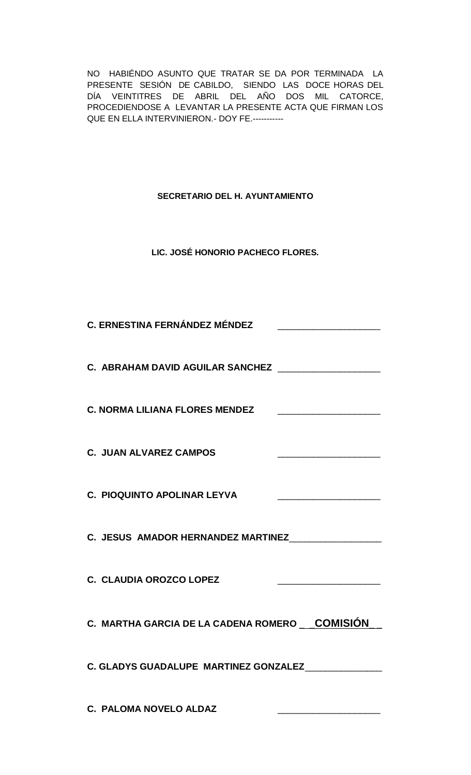NO HABIÉNDO ASUNTO QUE TRATAR SE DA POR TERMINADA LA PRESENTE SESIÓN DE CABILDO, SIENDO LAS DOCE HORAS DEL DÍA VEINTITRES DE ABRIL DEL AÑO DOS MIL CATORCE, PROCEDIENDOSE A LEVANTAR LA PRESENTE ACTA QUE FIRMAN LOS QUE EN ELLA INTERVINIERON.- DOY FE.-----------

**SECRETARIO DEL H. AYUNTAMIENTO**

**LIC. JOSÉ HONORIO PACHECO FLORES.**

| C. ERNESTINA FERNÁNDEZ MÉNDEZ                        |
|------------------------------------------------------|
| C. ABRAHAM DAVID AGUILAR SANCHEZ __________________  |
| <b>C. NORMA LILIANA FLORES MENDEZ</b>                |
| <b>C. JUAN ALVAREZ CAMPOS</b>                        |
| C. PIOQUINTO APOLINAR LEYVA                          |
| C. JESUS AMADOR HERNANDEZ MARTINEZ                   |
| C. CLAUDIA OROZCO LOPEZ                              |
| C. MARTHA GARCIA DE LA CADENA ROMERO COMISIÓN        |
| C. GLADYS GUADALUPE MARTINEZ GONZALEZ_______________ |
| C. PALOMA NOVELO ALDAZ                               |